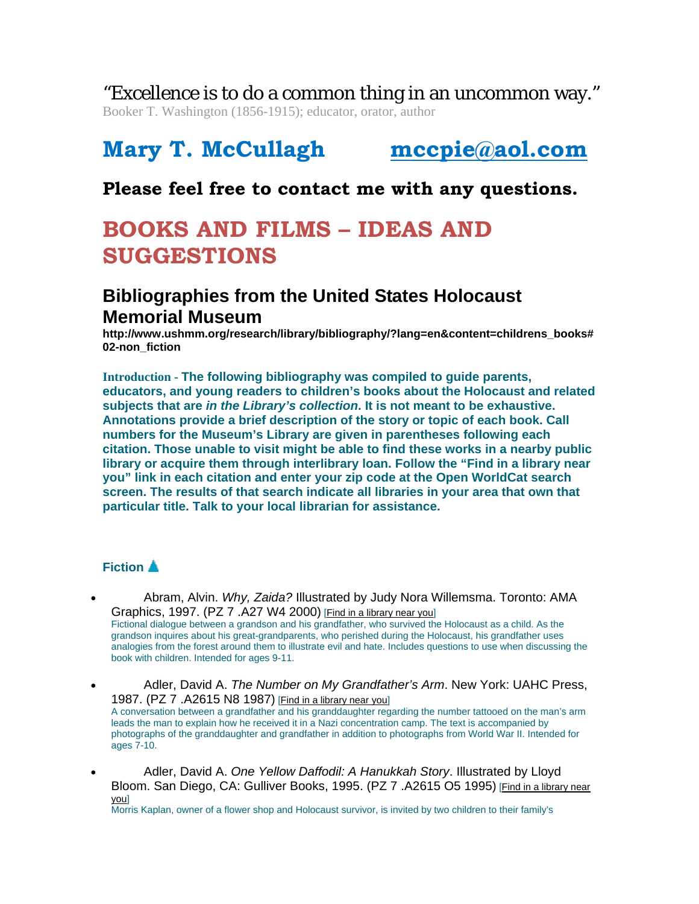"Excellence is to do a common thing in an uncommon way."

Booker T. Washington (1856-1915); educator, orator, author

# **Mary T. McCullagh mccpie@aol.com**

## **Please feel free to contact me with any questions.**

# **BOOKS AND FILMS – IDEAS AND SUGGESTIONS**

### **Bibliographies from the United States Holocaust Memorial Museum**

**http://www.ushmm.org/research/library/bibliography/?lang=en&content=childrens\_books# 02-non\_fiction**

**Introduction - The following bibliography was compiled to guide parents, educators, and young readers to children's books about the Holocaust and related subjects that are** *in the Library's collection***. It is not meant to be exhaustive. Annotations provide a brief description of the story or topic of each book. Call numbers for the Museum's Library are given in parentheses following each citation. Those unable to visit might be able to find these works in a nearby public library or acquire them through interlibrary loan. Follow the "Find in a library near you" link in each citation and enter your zip code at the Open WorldCat search screen. The results of that search indicate all libraries in your area that own that particular title. Talk to your local librarian for assistance.** 

### **Fiction**

• Abram, Alvin. *Why, Zaida?* Illustrated by Judy Nora Willemsma. Toronto: AMA Graphics, 1997. (PZ 7 .A27 W4 2000) [Find in a library near you] Fictional dialogue between a grandson and his grandfather, who survived the Holocaust as a child. As the grandson inquires about his great-grandparents, who perished during the Holocaust, his grandfather uses analogies from the forest around them to illustrate evil and hate. Includes questions to use when discussing the

- book with children. Intended for ages 9-11. • Adler, David A. *The Number on My Grandfather's Arm*. New York: UAHC Press, 1987. (PZ 7 .A2615 N8 1987) [Find in a library near you] A conversation between a grandfather and his granddaughter regarding the number tattooed on the man's arm leads the man to explain how he received it in a Nazi concentration camp. The text is accompanied by photographs of the granddaughter and grandfather in addition to photographs from World War II. Intended for ages 7-10.
- Adler, David A. *One Yellow Daffodil: A Hanukkah Story*. Illustrated by Lloyd Bloom. San Diego, CA: Gulliver Books, 1995. (PZ 7 .A2615 O5 1995) [Find in a library near you]

Morris Kaplan, owner of a flower shop and Holocaust survivor, is invited by two children to their family's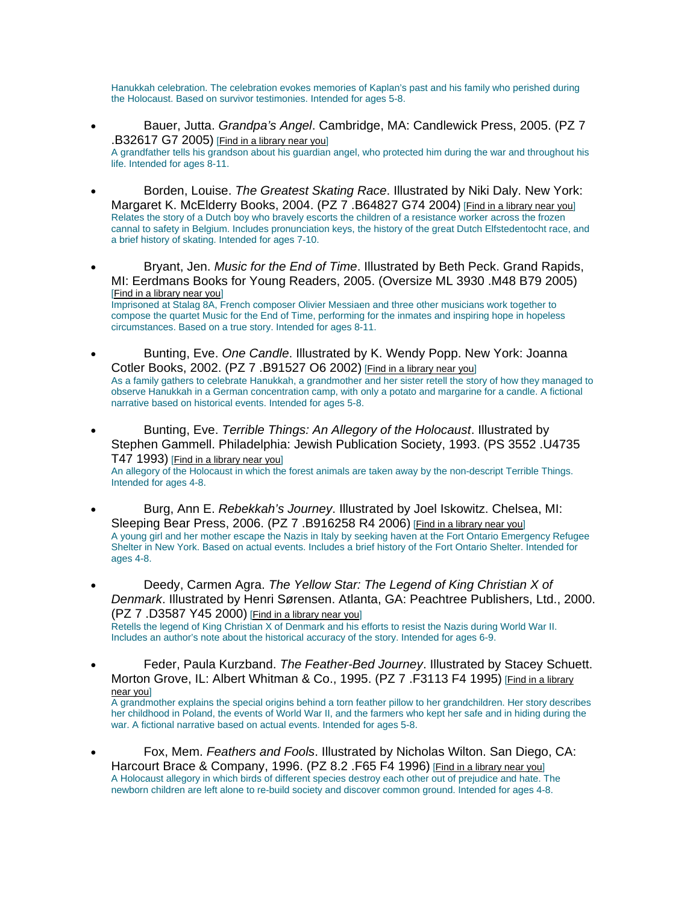Hanukkah celebration. The celebration evokes memories of Kaplan's past and his family who perished during the Holocaust. Based on survivor testimonies. Intended for ages 5-8.

- Bauer, Jutta. *Grandpa's Angel*. Cambridge, MA: Candlewick Press, 2005. (PZ 7 .B32617 G7 2005) [Find in a library near you] A grandfather tells his grandson about his guardian angel, who protected him during the war and throughout his life. Intended for ages 8-11.
- Borden, Louise. *The Greatest Skating Race*. Illustrated by Niki Daly. New York: Margaret K. McElderry Books, 2004. (PZ 7. B64827 G74 2004) [Find in a library near you] Relates the story of a Dutch boy who bravely escorts the children of a resistance worker across the frozen cannal to safety in Belgium. Includes pronunciation keys, the history of the great Dutch Elfstedentocht race, and a brief history of skating. Intended for ages 7-10.
- Bryant, Jen. *Music for the End of Time*. Illustrated by Beth Peck. Grand Rapids, MI: Eerdmans Books for Young Readers, 2005. (Oversize ML 3930 .M48 B79 2005) [Find in a library near you] Imprisoned at Stalag 8A, French composer Olivier Messiaen and three other musicians work together to compose the quartet Music for the End of Time, performing for the inmates and inspiring hope in hopeless circumstances. Based on a true story. Intended for ages 8-11.
- Bunting, Eve. *One Candle*. Illustrated by K. Wendy Popp. New York: Joanna Cotler Books, 2002. (PZ 7 .B91527 O6 2002) [Find in a library near you] As a family gathers to celebrate Hanukkah, a grandmother and her sister retell the story of how they managed to observe Hanukkah in a German concentration camp, with only a potato and margarine for a candle. A fictional narrative based on historical events. Intended for ages 5-8.
- Bunting, Eve. *Terrible Things: An Allegory of the Holocaust*. Illustrated by Stephen Gammell. Philadelphia: Jewish Publication Society, 1993. (PS 3552 .U4735 T47 1993) [Find in a library near you] An allegory of the Holocaust in which the forest animals are taken away by the non-descript Terrible Things. Intended for ages 4-8.
- Burg, Ann E. *Rebekkah's Journey*. Illustrated by Joel Iskowitz. Chelsea, MI: Sleeping Bear Press, 2006. (PZ 7 .B916258 R4 2006) [Find in a library near you] A young girl and her mother escape the Nazis in Italy by seeking haven at the Fort Ontario Emergency Refugee Shelter in New York. Based on actual events. Includes a brief history of the Fort Ontario Shelter. Intended for ages 4-8.
- Deedy, Carmen Agra. *The Yellow Star: The Legend of King Christian X of Denmark*. Illustrated by Henri Sørensen. Atlanta, GA: Peachtree Publishers, Ltd., 2000. (PZ 7 .D3587 Y45 2000) [Find in a library near you] Retells the legend of King Christian X of Denmark and his efforts to resist the Nazis during World War II. Includes an author's note about the historical accuracy of the story. Intended for ages 6-9.
- Feder, Paula Kurzband. *The Feather-Bed Journey*. Illustrated by Stacey Schuett. Morton Grove, IL: Albert Whitman & Co., 1995. (PZ 7 .F3113 F4 1995) [Find in a library near you] A grandmother explains the special origins behind a torn feather pillow to her grandchildren. Her story describes her childhood in Poland, the events of World War II, and the farmers who kept her safe and in hiding during the war. A fictional narrative based on actual events. Intended for ages 5-8.
- Fox, Mem. *Feathers and Fools*. Illustrated by Nicholas Wilton. San Diego, CA: Harcourt Brace & Company, 1996. (PZ 8.2 .F65 F4 1996) [Find in a library near you] A Holocaust allegory in which birds of different species destroy each other out of prejudice and hate. The newborn children are left alone to re-build society and discover common ground. Intended for ages 4-8.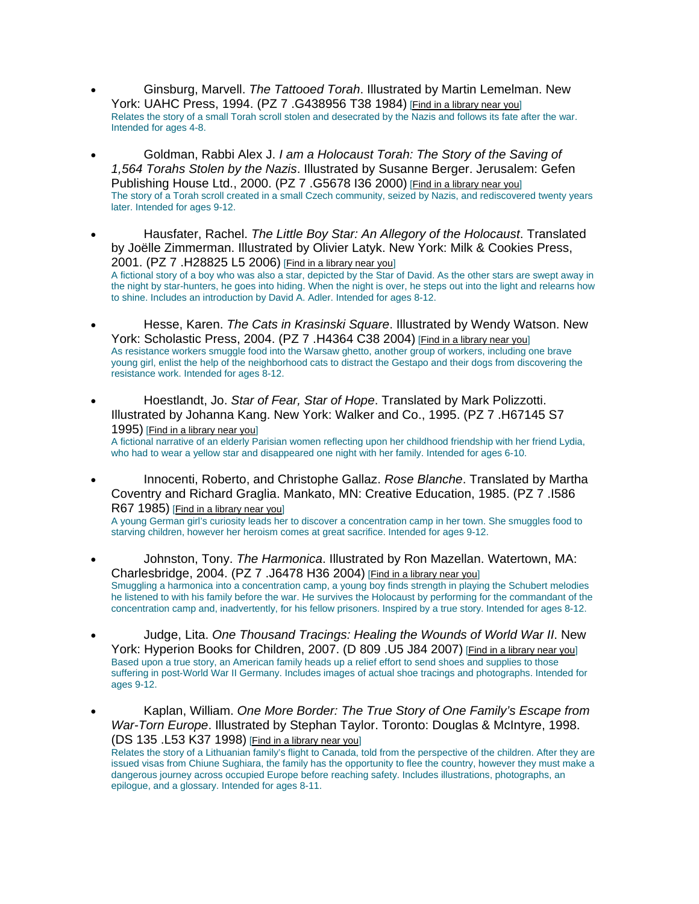- Ginsburg, Marvell. *The Tattooed Torah*. Illustrated by Martin Lemelman. New York: UAHC Press, 1994. (PZ 7 .G438956 T38 1984) [Find in a library near you] Relates the story of a small Torah scroll stolen and desecrated by the Nazis and follows its fate after the war. Intended for ages 4-8.
- Goldman, Rabbi Alex J. *I am a Holocaust Torah: The Story of the Saving of 1,564 Torahs Stolen by the Nazis*. Illustrated by Susanne Berger. Jerusalem: Gefen Publishing House Ltd., 2000. (PZ 7 .G5678 136 2000) [Find in a library near you] The story of a Torah scroll created in a small Czech community, seized by Nazis, and rediscovered twenty years later. Intended for ages 9-12.
- Hausfater, Rachel. *The Little Boy Star: An Allegory of the Holocaust*. Translated by Joëlle Zimmerman. Illustrated by Olivier Latyk. New York: Milk & Cookies Press, 2001. (PZ 7 .H28825 L5 2006) [Find in a library near you] A fictional story of a boy who was also a star, depicted by the Star of David. As the other stars are swept away in the night by star-hunters, he goes into hiding. When the night is over, he steps out into the light and relearns how to shine. Includes an introduction by David A. Adler. Intended for ages 8-12.
- Hesse, Karen. *The Cats in Krasinski Square*. Illustrated by Wendy Watson. New York: Scholastic Press, 2004. (PZ 7 .H4364 C38 2004) [Find in a library near you] As resistance workers smuggle food into the Warsaw ghetto, another group of workers, including one brave young girl, enlist the help of the neighborhood cats to distract the Gestapo and their dogs from discovering the resistance work. Intended for ages 8-12.
- Hoestlandt, Jo. *Star of Fear, Star of Hope*. Translated by Mark Polizzotti. Illustrated by Johanna Kang. New York: Walker and Co., 1995. (PZ 7 .H67145 S7 1995) [Find in a library near you] A fictional narrative of an elderly Parisian women reflecting upon her childhood friendship with her friend Lydia, who had to wear a yellow star and disappeared one night with her family. Intended for ages 6-10.
- Innocenti, Roberto, and Christophe Gallaz. *Rose Blanche*. Translated by Martha Coventry and Richard Graglia. Mankato, MN: Creative Education, 1985. (PZ 7 .I586 R67 1985) [Find in a library near you] A young German girl's curiosity leads her to discover a concentration camp in her town. She smuggles food to starving children, however her heroism comes at great sacrifice. Intended for ages 9-12.
- Johnston, Tony. *The Harmonica*. Illustrated by Ron Mazellan. Watertown, MA: Charlesbridge, 2004. (PZ 7 .J6478 H36 2004) [Find in a library near you] Smuggling a harmonica into a concentration camp, a young boy finds strength in playing the Schubert melodies he listened to with his family before the war. He survives the Holocaust by performing for the commandant of the concentration camp and, inadvertently, for his fellow prisoners. Inspired by a true story. Intended for ages 8-12.
- Judge, Lita. *One Thousand Tracings: Healing the Wounds of World War II*. New York: Hyperion Books for Children, 2007. (D 809 .U5 J84 2007) [Find in a library near you] Based upon a true story, an American family heads up a relief effort to send shoes and supplies to those suffering in post-World War II Germany. Includes images of actual shoe tracings and photographs. Intended for ages 9-12.
- Kaplan, William. *One More Border: The True Story of One Family's Escape from War-Torn Europe*. Illustrated by Stephan Taylor. Toronto: Douglas & McIntyre, 1998. (DS 135 .L53 K37 1998) [Find in a library near you]

Relates the story of a Lithuanian family's flight to Canada, told from the perspective of the children. After they are issued visas from Chiune Sughiara, the family has the opportunity to flee the country, however they must make a dangerous journey across occupied Europe before reaching safety. Includes illustrations, photographs, an epilogue, and a glossary. Intended for ages 8-11.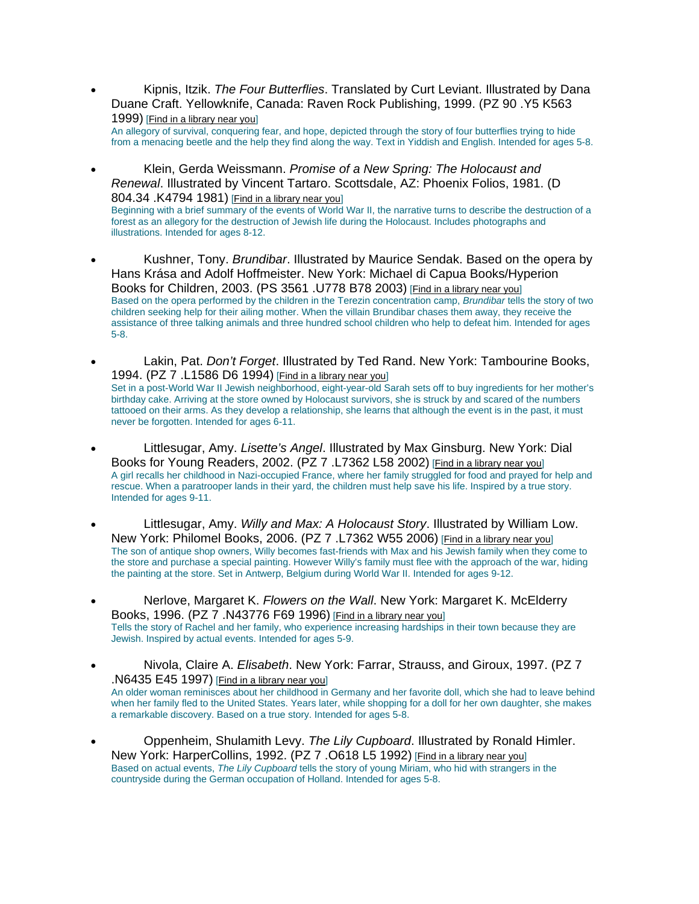- Kipnis, Itzik. *The Four Butterflies*. Translated by Curt Leviant. Illustrated by Dana Duane Craft. Yellowknife, Canada: Raven Rock Publishing, 1999. (PZ 90 .Y5 K563 1999) [Find in a library near you] An allegory of survival, conquering fear, and hope, depicted through the story of four butterflies trying to hide from a menacing beetle and the help they find along the way. Text in Yiddish and English. Intended for ages 5-8.
- Klein, Gerda Weissmann. *Promise of a New Spring: The Holocaust and Renewal*. Illustrated by Vincent Tartaro. Scottsdale, AZ: Phoenix Folios, 1981. (D 804.34 .K4794 1981) [Find in a library near you] Beginning with a brief summary of the events of World War II, the narrative turns to describe the destruction of a forest as an allegory for the destruction of Jewish life during the Holocaust. Includes photographs and illustrations. Intended for ages 8-12.
- Kushner, Tony. *Brundibar*. Illustrated by Maurice Sendak. Based on the opera by Hans Krása and Adolf Hoffmeister. New York: Michael di Capua Books/Hyperion Books for Children, 2003. (PS 3561 .U778 B78 2003) [Find in a library near you] Based on the opera performed by the children in the Terezin concentration camp, *Brundibar* tells the story of two children seeking help for their ailing mother. When the villain Brundibar chases them away, they receive the assistance of three talking animals and three hundred school children who help to defeat him. Intended for ages 5-8.
- Lakin, Pat. *Don't Forget*. Illustrated by Ted Rand. New York: Tambourine Books, 1994. (PZ 7 .L1586 D6 1994) [Find in a library near you] Set in a post-World War II Jewish neighborhood, eight-year-old Sarah sets off to buy ingredients for her mother's birthday cake. Arriving at the store owned by Holocaust survivors, she is struck by and scared of the numbers tattooed on their arms. As they develop a relationship, she learns that although the event is in the past, it must never be forgotten. Intended for ages 6-11.
- Littlesugar, Amy. *Lisette's Angel*. Illustrated by Max Ginsburg. New York: Dial Books for Young Readers, 2002. (PZ 7 .L7362 L58 2002) [Find in a library near you] A girl recalls her childhood in Nazi-occupied France, where her family struggled for food and prayed for help and rescue. When a paratrooper lands in their yard, the children must help save his life. Inspired by a true story. Intended for ages 9-11.
- Littlesugar, Amy. *Willy and Max: A Holocaust Story*. Illustrated by William Low. New York: Philomel Books, 2006. (PZ 7 .L7362 W55 2006) [Find in a library near you] The son of antique shop owners, Willy becomes fast-friends with Max and his Jewish family when they come to the store and purchase a special painting. However Willy's family must flee with the approach of the war, hiding the painting at the store. Set in Antwerp, Belgium during World War II. Intended for ages 9-12.
- Nerlove, Margaret K. *Flowers on the Wall*. New York: Margaret K. McElderry Books, 1996. (PZ 7 .N43776 F69 1996) [Find in a library near you] Tells the story of Rachel and her family, who experience increasing hardships in their town because they are Jewish. Inspired by actual events. Intended for ages 5-9.
- Nivola, Claire A. *Elisabeth*. New York: Farrar, Strauss, and Giroux, 1997. (PZ 7 .N6435 E45 1997) [Find in a library near you] An older woman reminisces about her childhood in Germany and her favorite doll, which she had to leave behind when her family fled to the United States. Years later, while shopping for a doll for her own daughter, she makes a remarkable discovery. Based on a true story. Intended for ages 5-8.
- Oppenheim, Shulamith Levy. *The Lily Cupboard*. Illustrated by Ronald Himler. New York: HarperCollins, 1992. (PZ 7 .0618 L5 1992) [Find in a library near you] Based on actual events, *The Lily Cupboard* tells the story of young Miriam, who hid with strangers in the countryside during the German occupation of Holland. Intended for ages 5-8.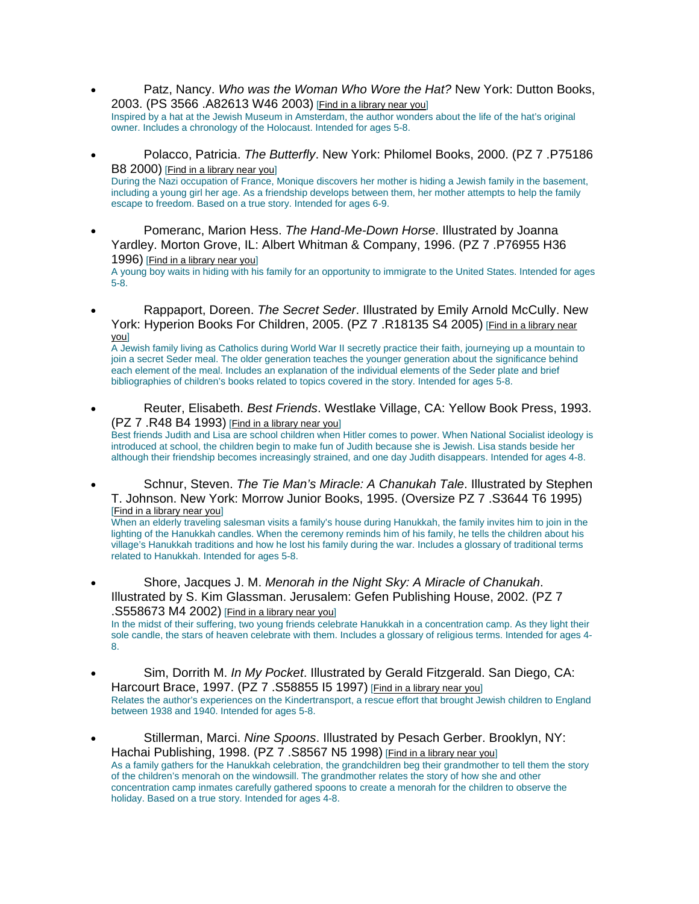- Patz, Nancy. *Who was the Woman Who Wore the Hat?* New York: Dutton Books, 2003. (PS 3566 .A82613 W46 2003) [Find in a library near you] Inspired by a hat at the Jewish Museum in Amsterdam, the author wonders about the life of the hat's original owner. Includes a chronology of the Holocaust. Intended for ages 5-8.
- Polacco, Patricia. *The Butterfly*. New York: Philomel Books, 2000. (PZ 7 .P75186 B8 2000) [Find in a library near you] During the Nazi occupation of France, Monique discovers her mother is hiding a Jewish family in the basement, including a young girl her age. As a friendship develops between them, her mother attempts to help the family escape to freedom. Based on a true story. Intended for ages 6-9.
- Pomeranc, Marion Hess. *The Hand-Me-Down Horse*. Illustrated by Joanna Yardley. Morton Grove, IL: Albert Whitman & Company, 1996. (PZ 7 .P76955 H36 1996) [Find in a library near you]

A young boy waits in hiding with his family for an opportunity to immigrate to the United States. Intended for ages 5-8.

• Rappaport, Doreen. *The Secret Seder*. Illustrated by Emily Arnold McCully. New York: Hyperion Books For Children, 2005. (PZ 7. R18135 S4 2005) [Find in a library near you]

A Jewish family living as Catholics during World War II secretly practice their faith, journeying up a mountain to join a secret Seder meal. The older generation teaches the younger generation about the significance behind each element of the meal. Includes an explanation of the individual elements of the Seder plate and brief bibliographies of children's books related to topics covered in the story. Intended for ages 5-8.

• Reuter, Elisabeth. *Best Friends*. Westlake Village, CA: Yellow Book Press, 1993.  $(PZ 7 . R48 B4 1993)$  [Find in a library near you]

Best friends Judith and Lisa are school children when Hitler comes to power. When National Socialist ideology is introduced at school, the children begin to make fun of Judith because she is Jewish. Lisa stands beside her although their friendship becomes increasingly strained, and one day Judith disappears. Intended for ages 4-8.

• Schnur, Steven. *The Tie Man's Miracle: A Chanukah Tale*. Illustrated by Stephen T. Johnson. New York: Morrow Junior Books, 1995. (Oversize PZ 7 .S3644 T6 1995) [Find in a library near you]

When an elderly traveling salesman visits a family's house during Hanukkah, the family invites him to join in the lighting of the Hanukkah candles. When the ceremony reminds him of his family, he tells the children about his village's Hanukkah traditions and how he lost his family during the war. Includes a glossary of traditional terms related to Hanukkah. Intended for ages 5-8.

• Shore, Jacques J. M. *Menorah in the Night Sky: A Miracle of Chanukah*. Illustrated by S. Kim Glassman. Jerusalem: Gefen Publishing House, 2002. (PZ 7 .S558673 M4 2002) [Find in a library near you] In the midst of their suffering, two young friends celebrate Hanukkah in a concentration camp. As they light their sole candle, the stars of heaven celebrate with them. Includes a glossary of religious terms. Intended for ages 4-

8. • Sim, Dorrith M. *In My Pocket*. Illustrated by Gerald Fitzgerald. San Diego, CA: Harcourt Brace, 1997. (PZ 7 .S58855 I5 1997) [Find in a library near you]

Relates the author's experiences on the Kindertransport, a rescue effort that brought Jewish children to England between 1938 and 1940. Intended for ages 5-8.

• Stillerman, Marci. *Nine Spoons*. Illustrated by Pesach Gerber. Brooklyn, NY: Hachai Publishing, 1998. (PZ 7 .S8567 N5 1998) [Find in a library near you] As a family gathers for the Hanukkah celebration, the grandchildren beg their grandmother to tell them the story of the children's menorah on the windowsill. The grandmother relates the story of how she and other concentration camp inmates carefully gathered spoons to create a menorah for the children to observe the holiday. Based on a true story. Intended for ages 4-8.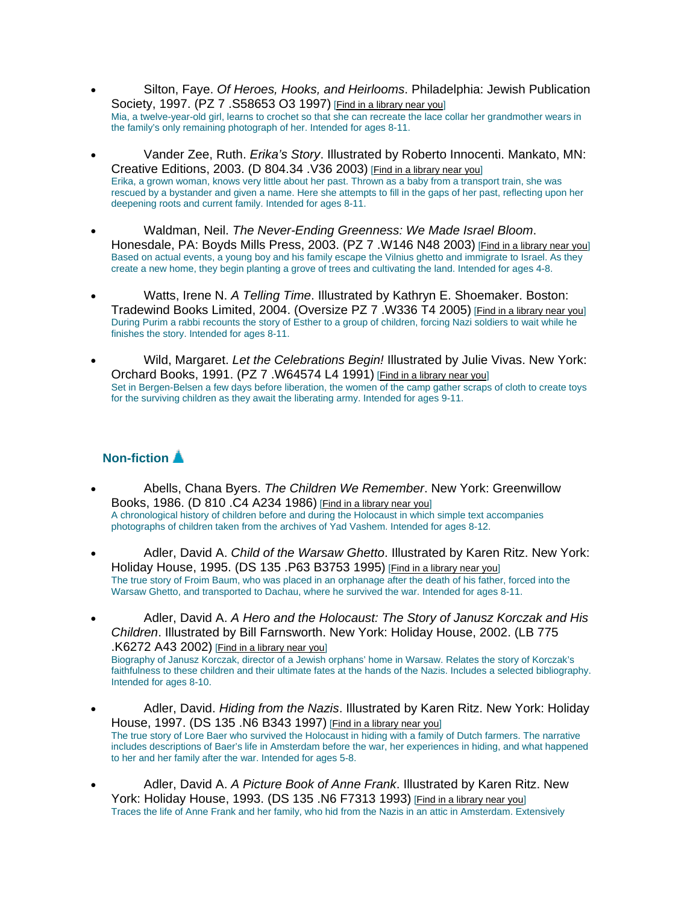- Silton, Faye. *Of Heroes, Hooks, and Heirlooms*. Philadelphia: Jewish Publication Society, 1997. (PZ 7 .S58653 O3 1997) [Find in a library near you] Mia, a twelve-year-old girl, learns to crochet so that she can recreate the lace collar her grandmother wears in the family's only remaining photograph of her. Intended for ages 8-11.
- Vander Zee, Ruth. *Erika's Story*. Illustrated by Roberto Innocenti. Mankato, MN: Creative Editions, 2003. (D 804.34 .V36 2003) [Find in a library near you] Erika, a grown woman, knows very little about her past. Thrown as a baby from a transport train, she was rescued by a bystander and given a name. Here she attempts to fill in the gaps of her past, reflecting upon her deepening roots and current family. Intended for ages 8-11.
- Waldman, Neil. *The Never-Ending Greenness: We Made Israel Bloom*. Honesdale, PA: Boyds Mills Press, 2003. (PZ 7 .W146 N48 2003) [Find in a library near you] Based on actual events, a young boy and his family escape the Vilnius ghetto and immigrate to Israel. As they create a new home, they begin planting a grove of trees and cultivating the land. Intended for ages 4-8.
- Watts, Irene N. *A Telling Time*. Illustrated by Kathryn E. Shoemaker. Boston: Tradewind Books Limited, 2004. (Oversize PZ 7 .W336 T4 2005) [Find in a library near you] During Purim a rabbi recounts the story of Esther to a group of children, forcing Nazi soldiers to wait while he finishes the story. Intended for ages 8-11.
- Wild, Margaret. *Let the Celebrations Begin!* Illustrated by Julie Vivas. New York: Orchard Books, 1991. (PZ 7 .W64574 L4 1991) [Find in a library near you] Set in Bergen-Belsen a few days before liberation, the women of the camp gather scraps of cloth to create toys for the surviving children as they await the liberating army. Intended for ages 9-11.

#### **Non-fiction**

- Abells, Chana Byers. *The Children We Remember*. New York: Greenwillow Books, 1986. (D 810 .C4 A234 1986) [Find in a library near you] A chronological history of children before and during the Holocaust in which simple text accompanies photographs of children taken from the archives of Yad Vashem. Intended for ages 8-12.
- Adler, David A. *Child of the Warsaw Ghetto*. Illustrated by Karen Ritz. New York: Holiday House, 1995. (DS 135 .P63 B3753 1995) [Find in a library near you] The true story of Froim Baum, who was placed in an orphanage after the death of his father, forced into the Warsaw Ghetto, and transported to Dachau, where he survived the war. Intended for ages 8-11.
- Adler, David A. *A Hero and the Holocaust: The Story of Janusz Korczak and His Children*. Illustrated by Bill Farnsworth. New York: Holiday House, 2002. (LB 775 .K6272 A43 2002) [Find in a library near you] Biography of Janusz Korczak, director of a Jewish orphans' home in Warsaw. Relates the story of Korczak's faithfulness to these children and their ultimate fates at the hands of the Nazis. Includes a selected bibliography. Intended for ages 8-10.
- Adler, David. *Hiding from the Nazis*. Illustrated by Karen Ritz. New York: Holiday House, 1997. (DS 135 .N6 B343 1997) [Find in a library near you] The true story of Lore Baer who survived the Holocaust in hiding with a family of Dutch farmers. The narrative includes descriptions of Baer's life in Amsterdam before the war, her experiences in hiding, and what happened to her and her family after the war. Intended for ages 5-8.
- Adler, David A. *A Picture Book of Anne Frank*. Illustrated by Karen Ritz. New York: Holiday House, 1993. (DS 135, N6 F7313 1993) [Find in a library near you] Traces the life of Anne Frank and her family, who hid from the Nazis in an attic in Amsterdam. Extensively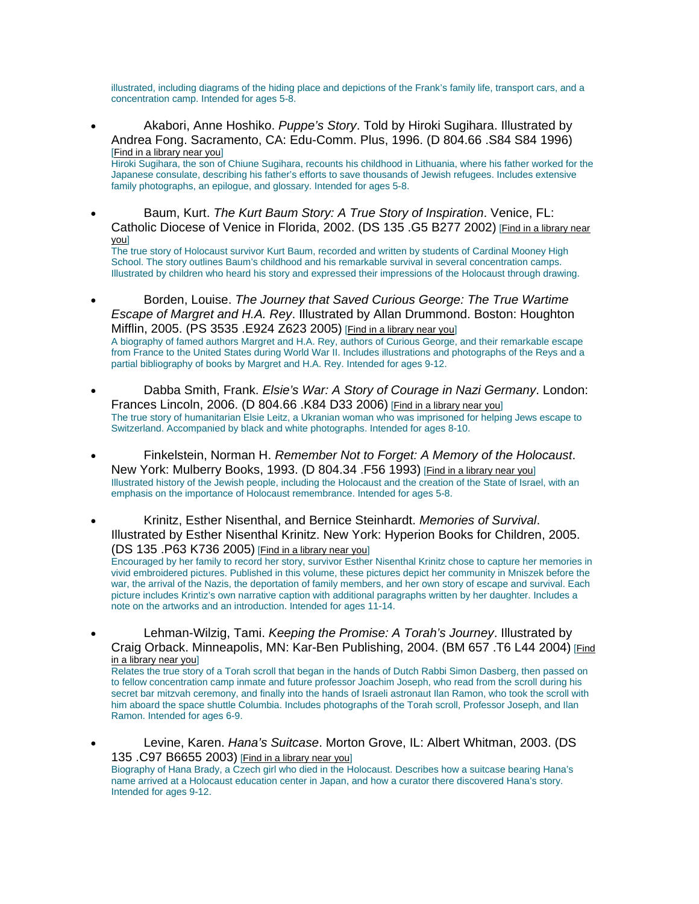illustrated, including diagrams of the hiding place and depictions of the Frank's family life, transport cars, and a concentration camp. Intended for ages 5-8.

- Akabori, Anne Hoshiko. *Puppe's Story*. Told by Hiroki Sugihara. Illustrated by Andrea Fong. Sacramento, CA: Edu-Comm. Plus, 1996. (D 804.66 .S84 S84 1996) [Find in a library near you] Hiroki Sugihara, the son of Chiune Sugihara, recounts his childhood in Lithuania, where his father worked for the Japanese consulate, describing his father's efforts to save thousands of Jewish refugees. Includes extensive family photographs, an epilogue, and glossary. Intended for ages 5-8.
- Baum, Kurt. *The Kurt Baum Story: A True Story of Inspiration*. Venice, FL: Catholic Diocese of Venice in Florida, 2002. (DS 135 .G5 B277 2002) [Find in a library near you]

The true story of Holocaust survivor Kurt Baum, recorded and written by students of Cardinal Mooney High School. The story outlines Baum's childhood and his remarkable survival in several concentration camps. Illustrated by children who heard his story and expressed their impressions of the Holocaust through drawing.

- Borden, Louise. *The Journey that Saved Curious George: The True Wartime Escape of Margret and H.A. Rey*. Illustrated by Allan Drummond. Boston: Houghton Mifflin, 2005. (PS 3535 .E924 Z623 2005) [Find in a library near you] A biography of famed authors Margret and H.A. Rey, authors of Curious George, and their remarkable escape from France to the United States during World War II. Includes illustrations and photographs of the Reys and a partial bibliography of books by Margret and H.A. Rey. Intended for ages 9-12.
- Dabba Smith, Frank. *Elsie's War: A Story of Courage in Nazi Germany*. London: Frances Lincoln, 2006. (D 804.66 .K84 D33 2006) [Find in a library near you] The true story of humanitarian Elsie Leitz, a Ukranian woman who was imprisoned for helping Jews escape to Switzerland. Accompanied by black and white photographs. Intended for ages 8-10.
- Finkelstein, Norman H. *Remember Not to Forget: A Memory of the Holocaust*. New York: Mulberry Books, 1993. (D 804.34 .F56 1993) [Find in a library near you] Illustrated history of the Jewish people, including the Holocaust and the creation of the State of Israel, with an emphasis on the importance of Holocaust remembrance. Intended for ages 5-8.
- Krinitz, Esther Nisenthal, and Bernice Steinhardt. *Memories of Survival*. Illustrated by Esther Nisenthal Krinitz. New York: Hyperion Books for Children, 2005. (DS 135 .P63 K736 2005) [Find in a library near you]

Encouraged by her family to record her story, survivor Esther Nisenthal Krinitz chose to capture her memories in vivid embroidered pictures. Published in this volume, these pictures depict her community in Mniszek before the war, the arrival of the Nazis, the deportation of family members, and her own story of escape and survival. Each picture includes Krintiz's own narrative caption with additional paragraphs written by her daughter. Includes a note on the artworks and an introduction. Intended for ages 11-14.

• Lehman-Wilzig, Tami. *Keeping the Promise: A Torah's Journey*. Illustrated by Craig Orback. Minneapolis, MN: Kar-Ben Publishing, 2004. (BM 657 .T6 L44 2004) [Find in a library near you]

Relates the true story of a Torah scroll that began in the hands of Dutch Rabbi Simon Dasberg, then passed on to fellow concentration camp inmate and future professor Joachim Joseph, who read from the scroll during his secret bar mitzvah ceremony, and finally into the hands of Israeli astronaut Ilan Ramon, who took the scroll with him aboard the space shuttle Columbia. Includes photographs of the Torah scroll, Professor Joseph, and Ilan Ramon. Intended for ages 6-9.

• Levine, Karen. *Hana's Suitcase*. Morton Grove, IL: Albert Whitman, 2003. (DS 135 .C97 B6655 2003) [Find in a library near you]

Biography of Hana Brady, a Czech girl who died in the Holocaust. Describes how a suitcase bearing Hana's name arrived at a Holocaust education center in Japan, and how a curator there discovered Hana's story. Intended for ages 9-12.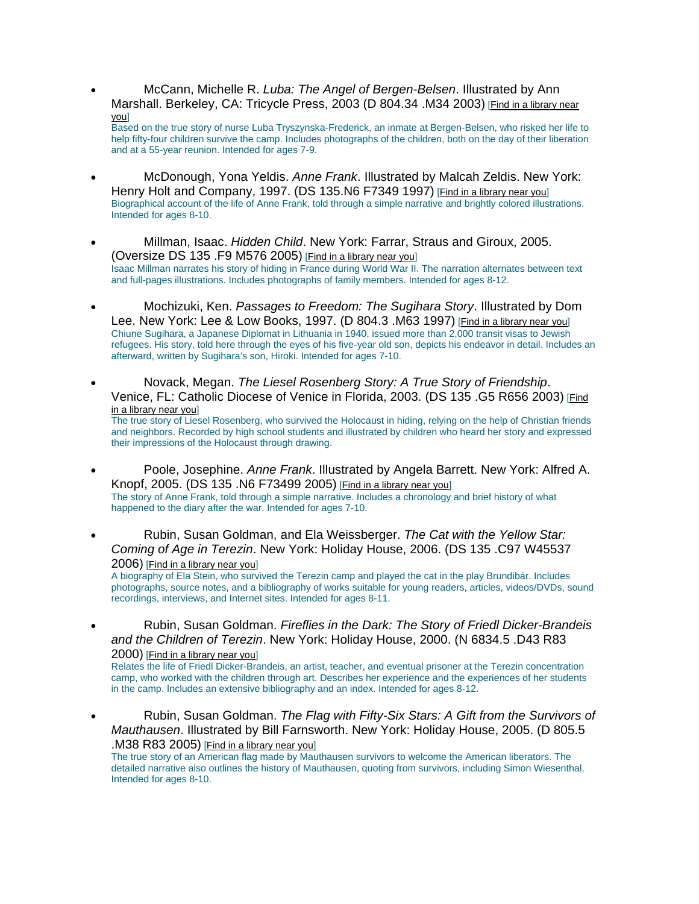• McCann, Michelle R. *Luba: The Angel of Bergen-Belsen*. Illustrated by Ann Marshall. Berkeley, CA: Tricycle Press, 2003 (D 804.34 .M34 2003) [Find in a library near you]

Based on the true story of nurse Luba Tryszynska-Frederick, an inmate at Bergen-Belsen, who risked her life to help fifty-four children survive the camp. Includes photographs of the children, both on the day of their liberation and at a 55-year reunion. Intended for ages 7-9.

- McDonough, Yona Yeldis. *Anne Frank*. Illustrated by Malcah Zeldis. New York: Henry Holt and Company, 1997. (DS 135.N6 F7349 1997) [Find in a library near you] Biographical account of the life of Anne Frank, told through a simple narrative and brightly colored illustrations. Intended for ages 8-10.
- Millman, Isaac. *Hidden Child*. New York: Farrar, Straus and Giroux, 2005. (Oversize DS 135 .F9 M576 2005) [Find in a library near you] Isaac Millman narrates his story of hiding in France during World War II. The narration alternates between text and full-pages illustrations. Includes photographs of family members. Intended for ages 8-12.
- Mochizuki, Ken. *Passages to Freedom: The Sugihara Story*. Illustrated by Dom Lee. New York: Lee & Low Books, 1997. (D 804.3 .M63 1997) [Find in a library near you] Chiune Sugihara, a Japanese Diplomat in Lithuania in 1940, issued more than 2,000 transit visas to Jewish refugees. His story, told here through the eyes of his five-year old son, depicts his endeavor in detail. Includes an afterward, written by Sugihara's son, Hiroki. Intended for ages 7-10.
- Novack, Megan. *The Liesel Rosenberg Story: A True Story of Friendship*. Venice, FL: Catholic Diocese of Venice in Florida, 2003. (DS 135 .G5 R656 2003) [Find in a library near you] The true story of Liesel Rosenberg, who survived the Holocaust in hiding, relying on the help of Christian friends and neighbors. Recorded by high school students and illustrated by children who heard her story and expressed

their impressions of the Holocaust through drawing. • Poole, Josephine. *Anne Frank*. Illustrated by Angela Barrett. New York: Alfred A. Knopf, 2005. (DS 135 .N6 F73499 2005) [Find in a library near you]

The story of Anne Frank, told through a simple narrative. Includes a chronology and brief history of what happened to the diary after the war. Intended for ages 7-10.

• Rubin, Susan Goldman, and Ela Weissberger. *The Cat with the Yellow Star: Coming of Age in Terezin*. New York: Holiday House, 2006. (DS 135 .C97 W45537 2006) [Find in a library near you]

A biography of Ela Stein, who survived the Terezin camp and played the cat in the play Brundibár. Includes photographs, source notes, and a bibliography of works suitable for young readers, articles, videos/DVDs, sound recordings, interviews, and Internet sites. Intended for ages 8-11.

• Rubin, Susan Goldman. *Fireflies in the Dark: The Story of Friedl Dicker-Brandeis and the Children of Terezin*. New York: Holiday House, 2000. (N 6834.5 .D43 R83 2000) [Find in a library near you]

Relates the life of Friedl Dicker-Brandeis, an artist, teacher, and eventual prisoner at the Terezin concentration camp, who worked with the children through art. Describes her experience and the experiences of her students in the camp. Includes an extensive bibliography and an index. Intended for ages 8-12.

• Rubin, Susan Goldman. *The Flag with Fifty-Six Stars: A Gift from the Survivors of Mauthausen*. Illustrated by Bill Farnsworth. New York: Holiday House, 2005. (D 805.5 .M38 R83 2005) [Find in a library near you]

The true story of an American flag made by Mauthausen survivors to welcome the American liberators. The detailed narrative also outlines the history of Mauthausen, quoting from survivors, including Simon Wiesenthal. Intended for ages 8-10.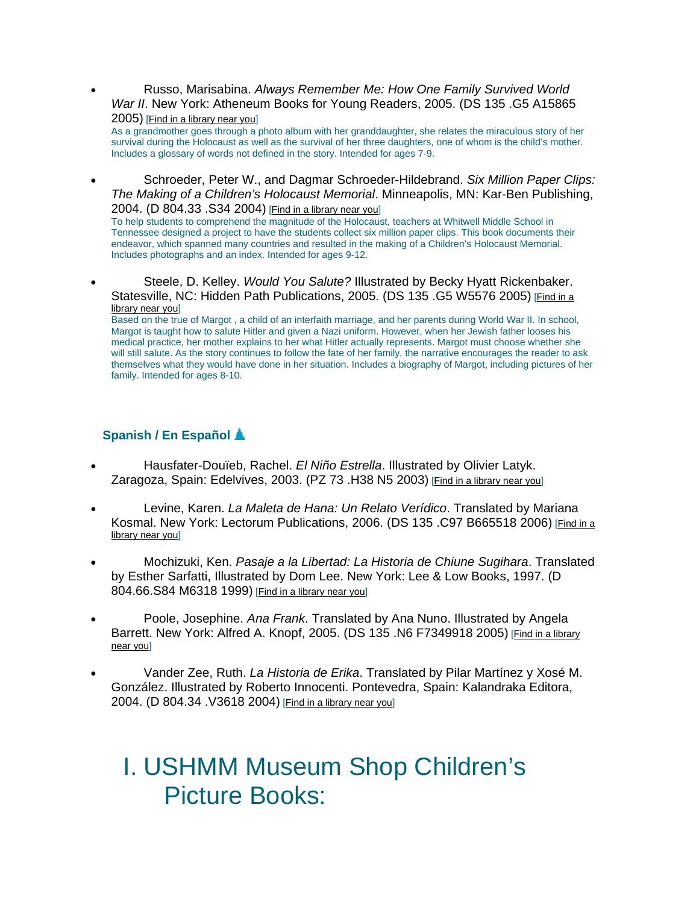• Russo, Marisabina. *Always Remember Me: How One Family Survived World War II*. New York: Atheneum Books for Young Readers, 2005. (DS 135 .G5 A15865 2005) [Find in a library near you]

As a grandmother goes through a photo album with her granddaughter, she relates the miraculous story of her survival during the Holocaust as well as the survival of her three daughters, one of whom is the child's mother. Includes a glossary of words not defined in the story. Intended for ages 7-9.

• Schroeder, Peter W., and Dagmar Schroeder-Hildebrand. *Six Million Paper Clips: The Making of a Children's Holocaust Memorial*. Minneapolis, MN: Kar-Ben Publishing, 2004. (D 804.33 .S34 2004) [Find in a library near you]

To help students to comprehend the magnitude of the Holocaust, teachers at Whitwell Middle School in Tennessee designed a project to have the students collect six million paper clips. This book documents their endeavor, which spanned many countries and resulted in the making of a Children's Holocaust Memorial. Includes photographs and an index. Intended for ages 9-12.

• Steele, D. Kelley. *Would You Salute?* Illustrated by Becky Hyatt Rickenbaker. Statesville, NC: Hidden Path Publications, 2005. (DS 135 .G5 W5576 2005) [Find in a library near you]

Based on the true of Margot , a child of an interfaith marriage, and her parents during World War II. In school, Margot is taught how to salute Hitler and given a Nazi uniform. However, when her Jewish father looses his medical practice, her mother explains to her what Hitler actually represents. Margot must choose whether she will still salute. As the story continues to follow the fate of her family, the narrative encourages the reader to ask themselves what they would have done in her situation. Includes a biography of Margot, including pictures of her family. Intended for ages 8-10.

### **Spanish / En Español**

- Hausfater-Douïeb, Rachel. *El Niño Estrella*. Illustrated by Olivier Latyk. Zaragoza, Spain: Edelvives, 2003. (PZ 73 .H38 N5 2003) [Find in a library near you]
- Levine, Karen. *La Maleta de Hana: Un Relato Verídico*. Translated by Mariana Kosmal. New York: Lectorum Publications, 2006. (DS 135 .C97 B665518 2006) [Find in a library near you]
- Mochizuki, Ken. *Pasaje a la Libertad: La Historia de Chiune Sugihara*. Translated by Esther Sarfatti, Illustrated by Dom Lee. New York: Lee & Low Books, 1997. (D 804.66.S84 M6318 1999) [Find in a library near you]
- Poole, Josephine. *Ana Frank*. Translated by Ana Nuno. Illustrated by Angela Barrett. New York: Alfred A. Knopf, 2005. (DS 135 .N6 F7349918 2005) [Find in a library near you]
- Vander Zee, Ruth. *La Historia de Erika*. Translated by Pilar Martínez y Xosé M. González. Illustrated by Roberto Innocenti. Pontevedra, Spain: Kalandraka Editora, 2004. (D 804.34 .V3618 2004) [Find in a library near you]

# I. USHMM Museum Shop Children's Picture Books: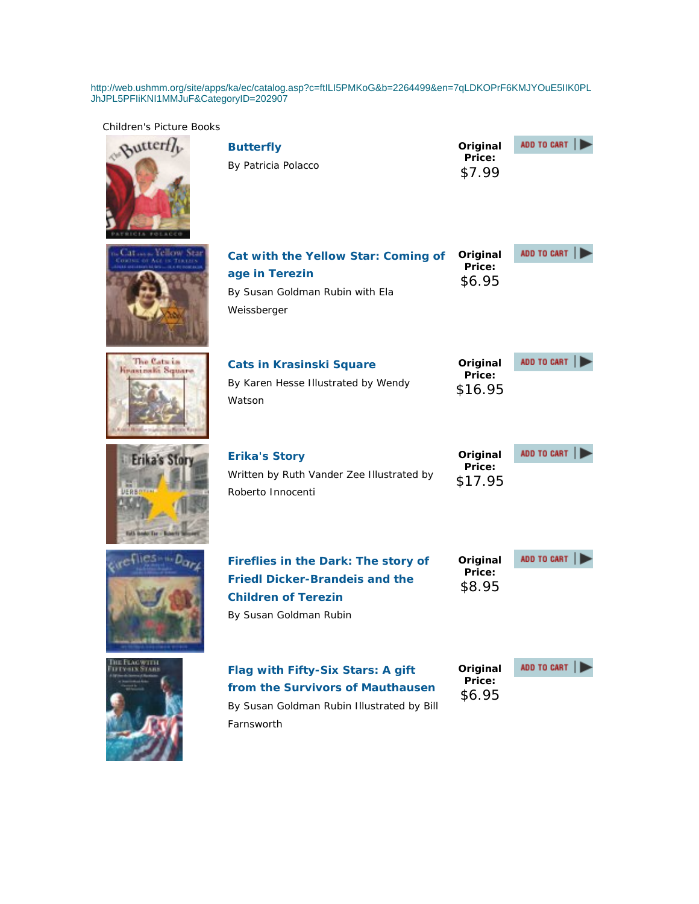http://web.ushmm.org/site/apps/ka/ec/catalog.asp?c=ftILI5PMKoG&b=2264499&en=7qLDKOPrF6KMJYOuE5IIK0PL JhJPL5PFIiKNI1MMJuF&CategoryID=202907

By Susan Goldman Rubin Illustrated by Bill

Farnsworth

Children's Picture Books



| <b>Butterfly</b>    | Original         | ADD TO CART |
|---------------------|------------------|-------------|
| By Patricia Polacco | Price:<br>\$7.99 |             |











| Cat with the Yellow Star: Coming of<br>age in Terezin<br>By Susan Goldman Rubin with Ela<br>Weissberger                              | Original<br>Price:<br>\$6.95  | ADD TO CART |
|--------------------------------------------------------------------------------------------------------------------------------------|-------------------------------|-------------|
| <b>Cats in Krasinski Square</b><br>By Karen Hesse Illustrated by Wendy<br>Watson                                                     | Original<br>Price:<br>\$16.95 | ADD TO CART |
| <b>Erika's Story</b><br>Written by Ruth Vander Zee Illustrated by<br>Roberto Innocenti                                               | Original<br>Price:<br>\$17.95 | ADD TO CART |
| Fireflies in the Dark: The story of<br><b>Friedl Dicker-Brandeis and the</b><br><b>Children of Terezin</b><br>By Susan Goldman Rubin | Original<br>Price:<br>\$8.95  | ADD TO CART |
| Flag with Fifty-Six Stars: A gift<br>from the Survivors of Mauthausen                                                                | Original<br>Price:<br>\$6.95  | ADD TO CART |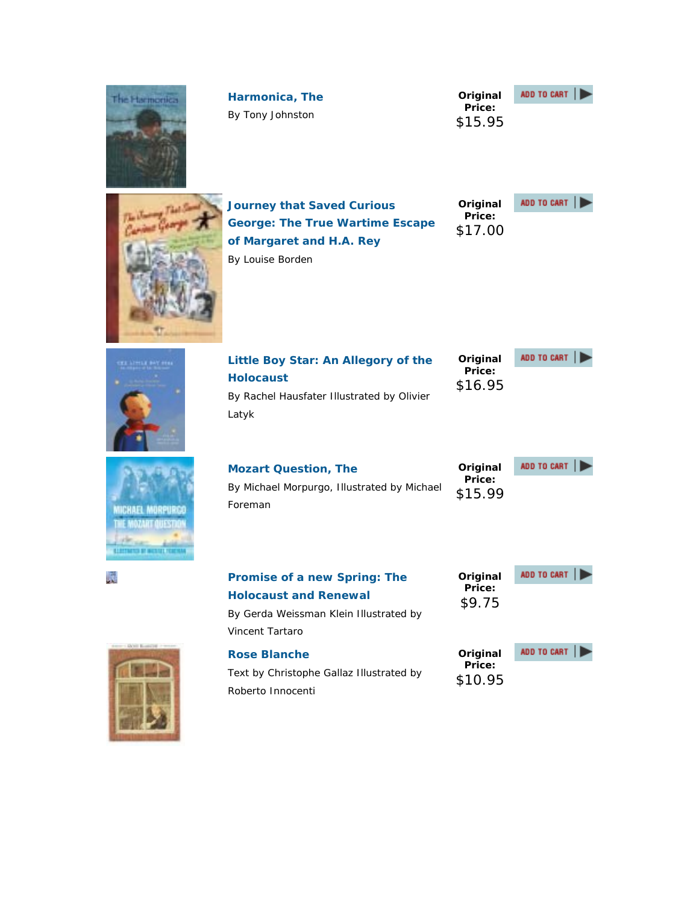| The Harmonica                                                            | Harmonica, The<br>By Tony Johnston                                                                                                      | Original<br>Price:<br>\$15.95 | ADD TO CART |
|--------------------------------------------------------------------------|-----------------------------------------------------------------------------------------------------------------------------------------|-------------------------------|-------------|
|                                                                          | <b>Journey that Saved Curious</b><br><b>George: The True Wartime Escape</b><br>of Margaret and H.A. Rey<br>By Louise Borden             | Original<br>Price:<br>\$17.00 | ADD TO CART |
|                                                                          | Little Boy Star: An Allegory of the<br><b>Holocaust</b><br>By Rachel Hausfater Illustrated by Olivier<br>Latyk                          | Original<br>Price:<br>\$16.95 | ADD TO CART |
| Nichael Morpurca<br>OATTE LIEEN<br><b>ELECTRICIAE DE MICRIAE FEDERAL</b> | <b>Mozart Question, The</b><br>By Michael Morpurgo, Illustrated by Michael<br>Foreman                                                   | Original<br>Price:<br>\$15.99 | ADD TO CART |
|                                                                          | <b>Promise of a new Spring: The</b><br><b>Holocaust and Renewal</b><br>By Gerda Weissman Klein Illustrated by<br><b>Vincent Tartaro</b> | Original<br>Price:<br>\$9.75  | ADD TO CART |
|                                                                          | <b>Rose Blanche</b><br>Text by Christophe Gallaz Illustrated by<br>Roberto Innocenti                                                    | Original<br>Price:<br>\$10.95 | ADD TO CART |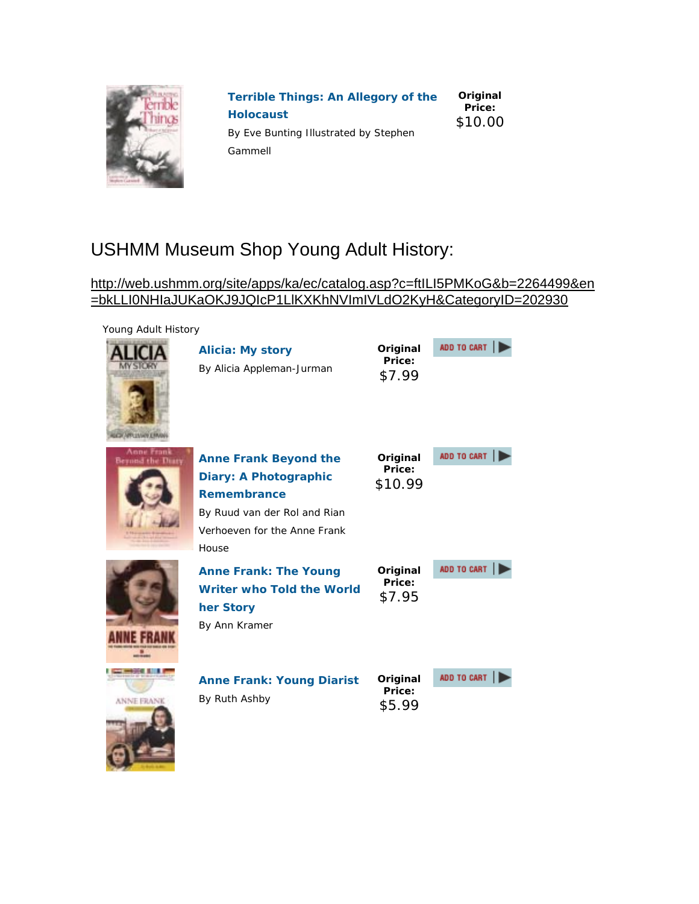

| <b>Terrible Things: An Allegory of the</b> | Original<br>Price: |
|--------------------------------------------|--------------------|
| <b>Holocaust</b>                           | \$10.00            |
| By Eve Bunting Illustrated by Stephen      |                    |
| Gammell                                    |                    |

## USHMM Museum Shop Young Adult History:

### http://web.ushmm.org/site/apps/ka/ec/catalog.asp?c=ftILI5PMKoG&b=2264499&en =bkLLI0NHIaJUKaOKJ9JQIcP1LlKXKhNVImIVLdO2KyH&CategoryID=202930

**COL** 

#### Young Adult History

| <b>CALIFFICATION E RIN</b>     | <b>Alicia: My story</b><br>By Alicia Appleman-Jurman                                                                                                 | Original<br>Price:<br>\$7.99  | ADD TO CART |
|--------------------------------|------------------------------------------------------------------------------------------------------------------------------------------------------|-------------------------------|-------------|
| Anne Frank<br>Beyond the Diary | <b>Anne Frank Beyond the</b><br>Diary: A Photographic<br><b>Remembrance</b><br>By Ruud van der Rol and Rian<br>Verhoeven for the Anne Frank<br>House | Original<br>Price:<br>\$10.99 | ADD TO CART |
|                                | <b>Anne Frank: The Young</b><br><b>Writer who Told the World</b><br>her Story<br>By Ann Kramer                                                       | Original<br>Price:<br>\$7.95  | ADD TO CART |
| <b>ANNE FRANK</b>              | <b>Anne Frank: Young Diarist</b><br>By Ruth Ashby                                                                                                    | Original<br>Price:<br>\$5.99  | ADD TO CART |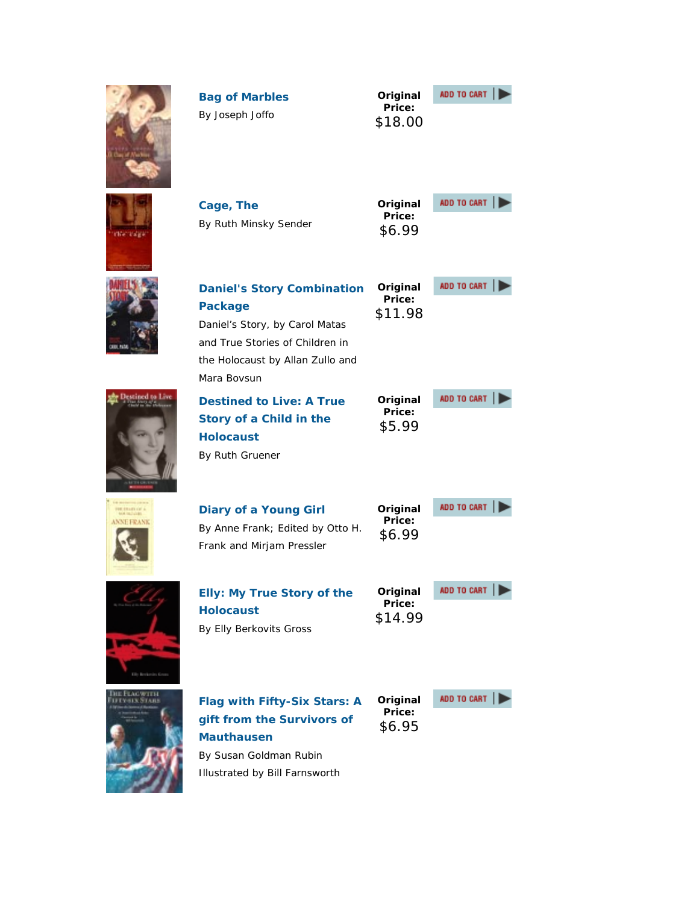|              | <b>Bag of Marbles</b><br>By Joseph Joffo                                                                                                                                    | Original<br>Price:<br>\$18.00 | ADD TO CART |
|--------------|-----------------------------------------------------------------------------------------------------------------------------------------------------------------------------|-------------------------------|-------------|
|              | Cage, The<br>By Ruth Minsky Sender                                                                                                                                          | Original<br>Price:<br>\$6.99  | ADD TO CART |
|              | <b>Daniel's Story Combination</b><br><b>Package</b><br>Daniel's Story, by Carol Matas<br>and True Stories of Children in<br>the Holocaust by Allan Zullo and<br>Mara Boysun | Original<br>Price:<br>\$11.98 | ADD TO CART |
|              | <b>Destined to Live: A True</b><br>Story of a Child in the<br><b>Holocaust</b><br>By Ruth Gruener                                                                           | Original<br>Price:<br>\$5.99  | ADD TO CART |
| <b>ERAND</b> | <b>Diary of a Young Girl</b><br>By Anne Frank; Edited by Otto H.<br>Frank and Mirjam Pressler                                                                               | Original<br>Price:<br>\$6.99  | ADD TO CART |
|              | <b>Elly: My True Story of the</b><br><b>Holocaust</b><br>By Elly Berkovits Gross                                                                                            | Original<br>Price:<br>\$14.99 | ADD TO CART |
|              | <b>Flag with Fifty-Six Stars: A</b><br>gift from the Survivors of<br><b>Mauthausen</b><br>By Susan Goldman Rubin<br>Illustrated by Bill Farnsworth                          | Original<br>Price:<br>\$6.95  | ADD TO CART |

Æ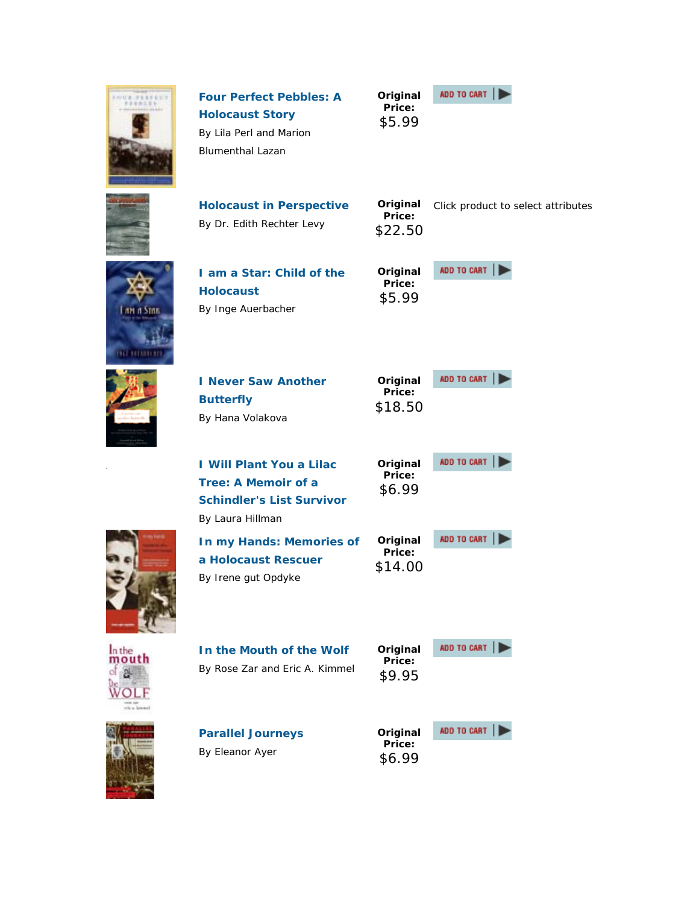| <b>UUA FEEFER</b>  | <b>Four Perfect Pebbles: A</b><br><b>Holocaust Story</b><br>By Lila Perl and Marion<br><b>Blumenthal Lazan</b> | Original<br>Price:<br>\$5.99  | ADD TO CART                        |
|--------------------|----------------------------------------------------------------------------------------------------------------|-------------------------------|------------------------------------|
|                    | <b>Holocaust in Perspective</b><br>By Dr. Edith Rechter Levy                                                   | Original<br>Price:<br>\$22.50 | Click product to select attributes |
| an a Sun<br>NUMBER | I am a Star: Child of the<br><b>Holocaust</b><br>By Inge Auerbacher                                            | Original<br>Price:<br>\$5.99  | ADD TO CART                        |
|                    | <b>I Never Saw Another</b><br><b>Butterfly</b><br>By Hana Volakova                                             | Original<br>Price:<br>\$18.50 | ADD TO CART                        |
|                    | <b>I Will Plant You a Lilac</b><br>Tree: A Memoir of a<br><b>Schindler's List Survivor</b><br>By Laura Hillman | Original<br>Price:<br>\$6.99  | ADD TO CART                        |
|                    | In my Hands: Memories of<br>a Holocaust Rescuer<br>By Irene gut Opdyke                                         | Original<br>Price:<br>\$14.00 | ADD TO CART                        |
| n the              | In the Mouth of the Wolf<br>By Rose Zar and Eric A. Kimmel                                                     | Original<br>Price:<br>\$9.95  | ADD TO CART                        |
|                    | <b>Parallel Journeys</b><br>By Eleanor Ayer                                                                    | Original<br>Price:<br>\$6.99  | ADD TO CART                        |

l,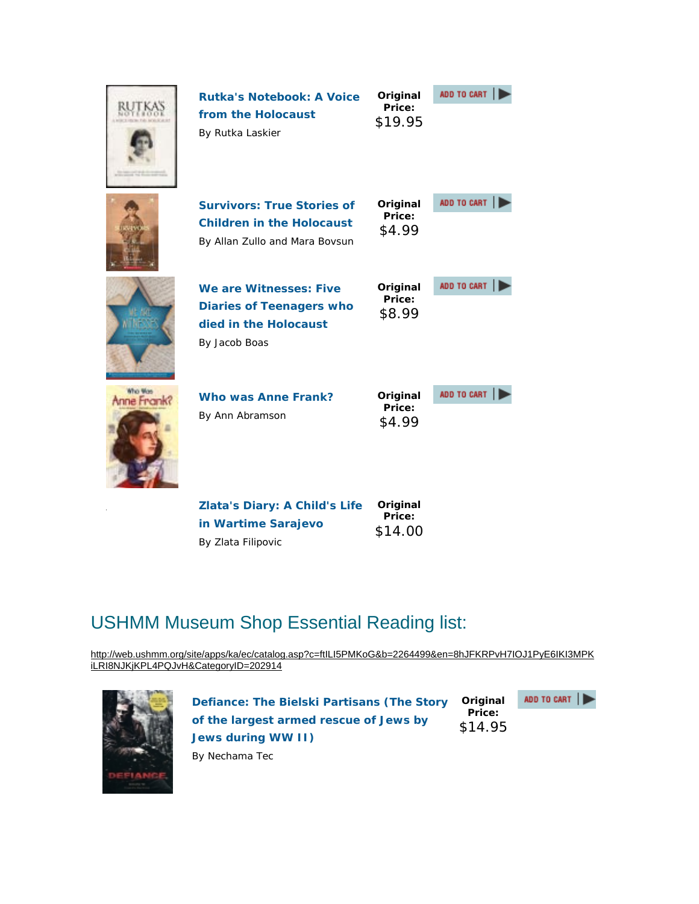|                        | <b>Rutka's Notebook: A Voice</b><br>from the Holocaust<br>By Rutka Laskier                              | Original<br>Price:<br>\$19.95 | ADD TO CART |
|------------------------|---------------------------------------------------------------------------------------------------------|-------------------------------|-------------|
|                        | <b>Survivors: True Stories of</b><br><b>Children in the Holocaust</b><br>By Allan Zullo and Mara Bovsun | Original<br>Price:<br>\$4.99  | ADD TO CART |
|                        | We are Witnesses: Five<br><b>Diaries of Teenagers who</b><br>died in the Holocaust<br>By Jacob Boas     | Original<br>Price:<br>\$8.99  | ADD TO CART |
| Who Mas<br>Anne Frank? | Who was Anne Frank?<br>By Ann Abramson                                                                  | Original<br>Price:<br>\$4.99  | ADD TO CART |
|                        | Zlata's Diary: A Child's Life                                                                           | Original                      |             |

# USHMM Museum Shop Essential Reading list:

**in Wartime Sarajevo**

By Zlata Filipovic

http://web.ushmm.org/site/apps/ka/ec/catalog.asp?c=ftILI5PMKoG&b=2264499&en=8hJFKRPvH7IOJ1PyE6IKI3MPK iLRI8NJKjKPL4PQJvH&CategoryID=202914

**Price:** \$14.00



**Defiance: The Bielski Partisans (The Story of the largest armed rescue of Jews by Jews during WW II) Original Price:** \$14.95



By Nechama Tec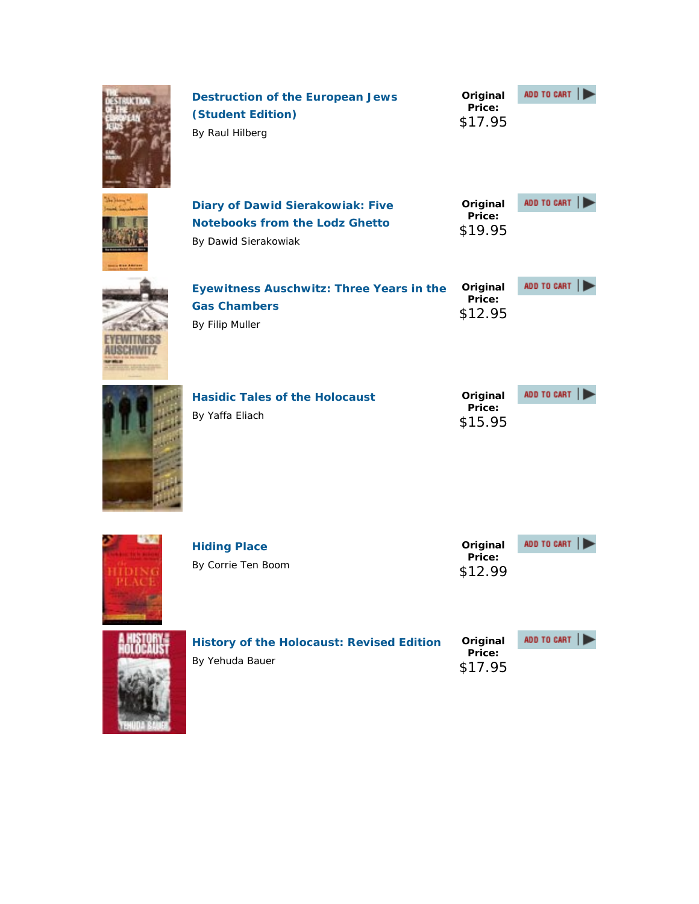|       | <b>Destruction of the European Jews</b><br>(Student Edition)<br>By Raul Hilberg                          | Original<br>Price:<br>\$17.95 | ADD TO CART |
|-------|----------------------------------------------------------------------------------------------------------|-------------------------------|-------------|
|       | <b>Diary of Dawid Sierakowiak: Five</b><br><b>Notebooks from the Lodz Ghetto</b><br>By Dawid Sierakowiak | Original<br>Price:<br>\$19.95 | ADD TO CART |
|       | <b>Eyewitness Auschwitz: Three Years in the</b><br><b>Gas Chambers</b><br>By Filip Muller                | Original<br>Price:<br>\$12.95 | ADD TO CART |
|       | <b>Hasidic Tales of the Holocaust</b><br>By Yaffa Eliach                                                 | Original<br>Price:<br>\$15.95 | ADD TO CART |
| 23.40 | <b>Hiding Place</b><br>By Corrie Ten Boom                                                                | Original<br>Price:<br>\$12.99 | ADD TO CART |
|       | <b>History of the Holocaust: Revised Edition</b><br>By Yehuda Bauer                                      | Original<br>Price:<br>\$17.95 | ADD TO CART |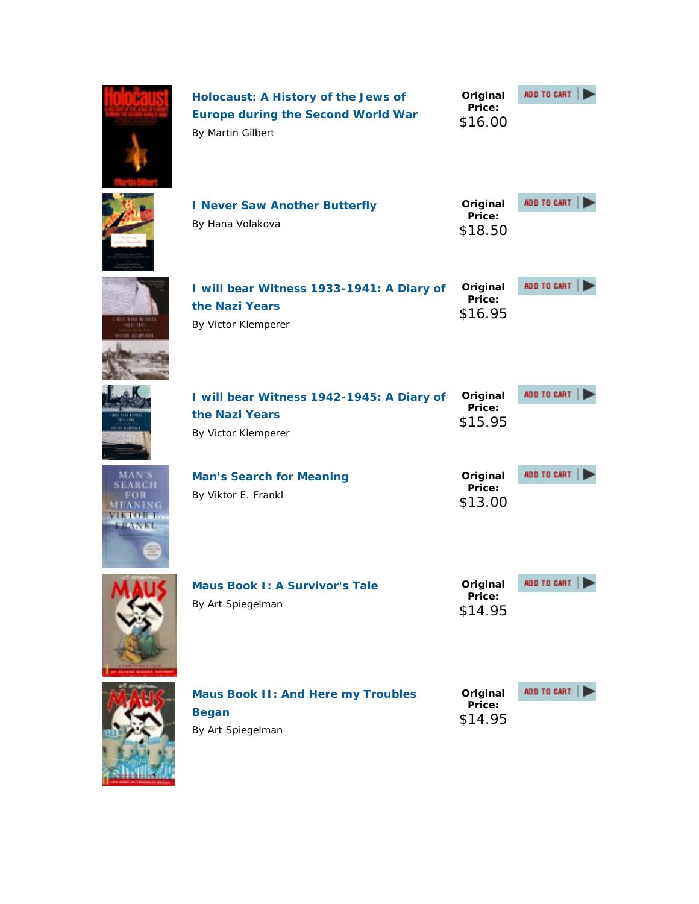|                                  | <b>Holocaust: A History of the Jews of</b><br><b>Europe during the Second World War</b><br>By Martin Gilbert | Original<br>Price:<br>\$16.00 | ADD TO CART |
|----------------------------------|--------------------------------------------------------------------------------------------------------------|-------------------------------|-------------|
|                                  | I Never Saw Another Butterfly<br>By Hana Volakova                                                            | Original<br>Price:<br>\$18.50 | ADD TO CART |
| 911-1991<br><b>ICSIL CONSUL</b>  | I will bear Witness 1933-1941: A Diary of<br>the Nazi Years<br>By Victor Klemperer                           | Original<br>Price:<br>\$16.95 | ADD TO CART |
| <b>ICIDE GERRIE</b>              | I will bear Witness 1942-1945: A Diary of<br>the Nazi Years<br>By Victor Klemperer                           | Original<br>Price:<br>\$15.95 | ADD TO CART |
| MAN'S<br>SEARCH<br><b>HIMMAD</b> | <b>Man's Search for Meaning</b><br>By Viktor E. Frankl                                                       | Original<br>Price:<br>\$13.00 | ADD TO CART |
|                                  | <b>Maus Book I: A Survivor's Tale</b><br>By Art Spiegelman                                                   | Original<br>Price:<br>\$14.95 | ADD TO CART |
|                                  | <b>Maus Book II: And Here my Troubles</b><br><b>Began</b><br>By Art Spiegelman                               | Original<br>Price:<br>\$14.95 | ADD TO CART |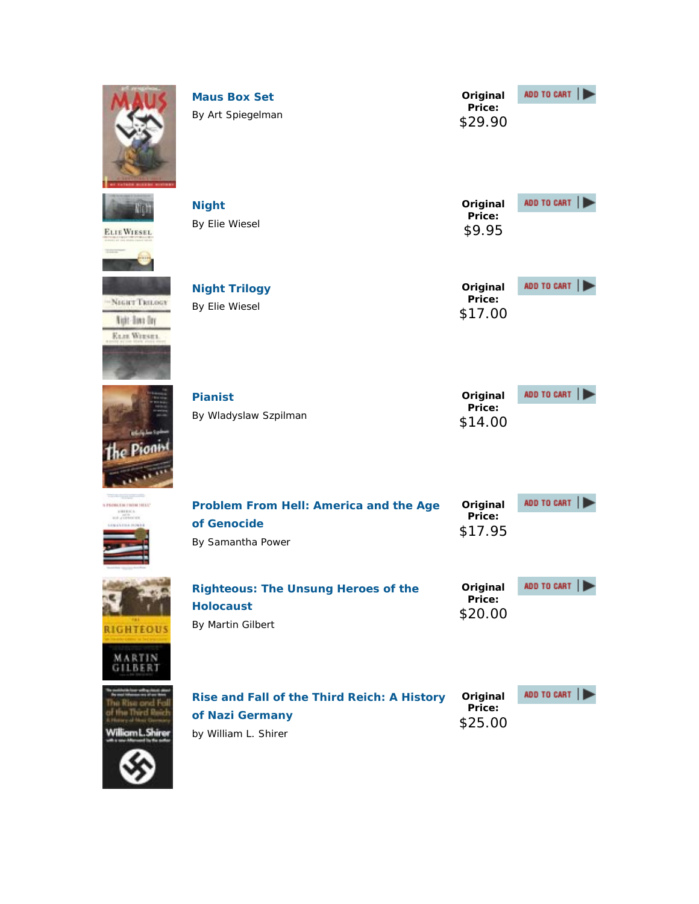|                                                                    | <b>Maus Box Set</b><br>By Art Spiegelman                                               | Original<br>Price:<br>\$29.90 | ADD TO CART |
|--------------------------------------------------------------------|----------------------------------------------------------------------------------------|-------------------------------|-------------|
| m<br><b>ELIE WIESEL</b>                                            | <b>Night</b><br>By Elie Wiesel                                                         | Original<br>Price:<br>\$9.95  | ADD TO CART |
| -NIGHT TRILOGY<br><b>Night-Town Ony</b><br><b>ELIZ WIESEL</b>      | <b>Night Trilogy</b><br>By Elie Wiesel                                                 | Original<br>Price:<br>\$17.00 | ADD TO CART |
|                                                                    | <b>Pianist</b><br>By Wladyslaw Szpilman                                                | Original<br>Price:<br>\$14.00 | ADD TO CART |
| 3. PROBLEM TROM 1923.1"<br><b>AMERICA</b><br><b>ALE A LESSACES</b> | Problem From Hell: America and the Age<br>of Genocide<br>By Samantha Power             | Original<br>Price:<br>\$17.95 | ADD TO CART |
| <b>RIGHTEOUS</b><br>MARTIN<br>GILBERT                              | <b>Righteous: The Unsung Heroes of the</b><br><b>Holocaust</b><br>By Martin Gilbert    | Original<br>Price:<br>\$20.00 | ADD TO CART |
| <b>Risa and Fa</b><br>se Third Reed<br>liam L. Shire               | Rise and Fall of the Third Reich: A History<br>of Nazi Germany<br>by William L. Shirer | Original<br>Price:<br>\$25.00 | ADD TO CART |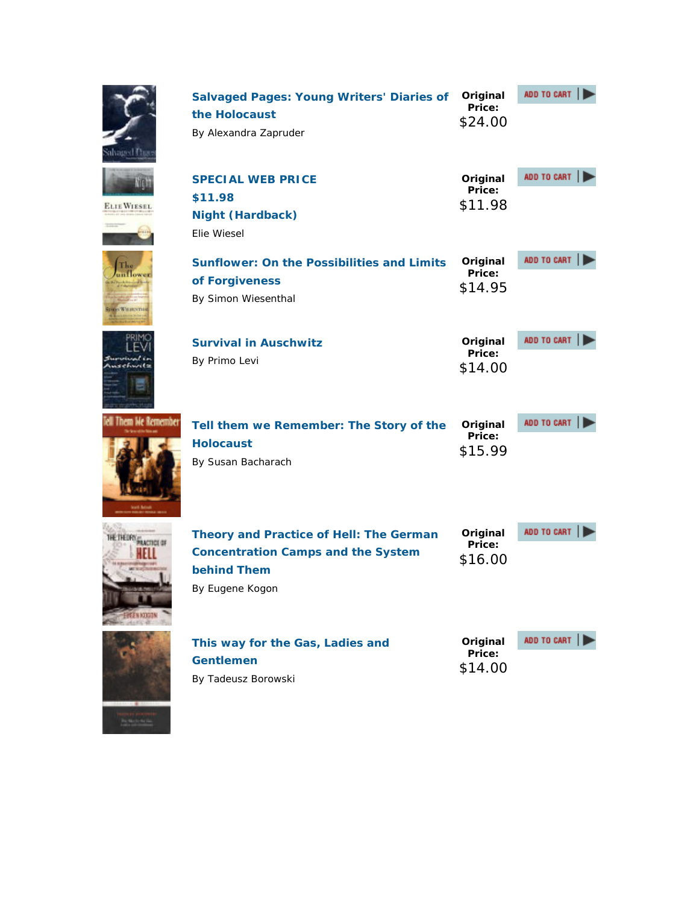| <b>HVagned F</b>        | <b>Salvaged Pages: Young Writers' Diaries of</b><br>the Holocaust<br>By Alexandra Zapruder                                    | Original<br>Price:<br>\$24.00 | ADD TO CART |
|-------------------------|-------------------------------------------------------------------------------------------------------------------------------|-------------------------------|-------------|
| <b>ELIE WIESEL</b>      | <b>SPECIAL WEB PRICE</b><br>\$11.98<br><b>Night (Hardback)</b><br>Elie Wiesel                                                 | Original<br>Price:<br>\$11.98 | ADD TO CART |
| n Lower<br>movWiracenau | <b>Sunflower: On the Possibilities and Limits</b><br>of Forgiveness<br>By Simon Wiesenthal                                    | Original<br>Price:<br>\$14.95 | ADD TO CART |
|                         | <b>Survival in Auschwitz</b><br>By Primo Levi                                                                                 | Original<br>Price:<br>\$14.00 | ADD TO CART |
| Them Me Remember        | Tell them we Remember: The Story of the<br><b>Holocaust</b><br>By Susan Bacharach                                             | Original<br>Price:<br>\$15.99 | ADD TO CART |
|                         | Theory and Practice of Hell: The German<br><b>Concentration Camps and the System</b><br><b>behind Them</b><br>By Eugene Kogon | Original<br>Price:<br>\$16.00 | ADD TO CART |
|                         | This way for the Gas, Ladies and<br><b>Gentlemen</b><br>By Tadeusz Borowski                                                   | Original<br>Price:<br>\$14.00 | ADD TO CART |

 $\mathbb{R}$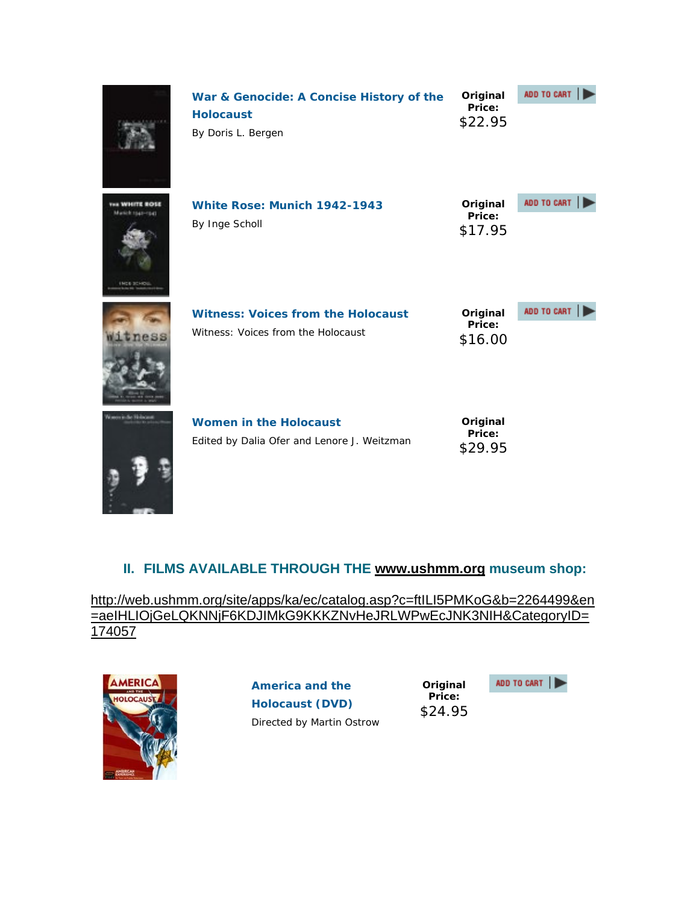|                  | War & Genocide: A Concise History of the<br><b>Holocaust</b><br>By Doris L. Bergen | Original<br>Price:<br>\$22.95 | ADD TO CART |
|------------------|------------------------------------------------------------------------------------|-------------------------------|-------------|
| <b>INCE SCHO</b> | White Rose: Munich 1942-1943<br>By Inge Scholl                                     | Original<br>Price:<br>\$17.95 | ADD TO CART |
| ness             | <b>Witness: Voices from the Holocaust</b><br>Witness: Voices from the Holocaust    | Original<br>Price:<br>\$16.00 | ADD TO CART |
|                  | <b>Women in the Holocaust</b><br>Edited by Dalia Ofer and Lenore J. Weitzman       | Original<br>Price:<br>\$29.95 |             |

### **II. FILMS AVAILABLE THROUGH THE www.ushmm.org museum shop:**

http://web.ushmm.org/site/apps/ka/ec/catalog.asp?c=ftILI5PMKoG&b=2264499&en =aeIHLIOjGeLQKNNjF6KDJIMkG9KKKZNvHeJRLWPwEcJNK3NIH&CategoryID= 174057



**America and the Holocaust (DVD)** Directed by Martin Ostrow

**Original Price:** \$24.95

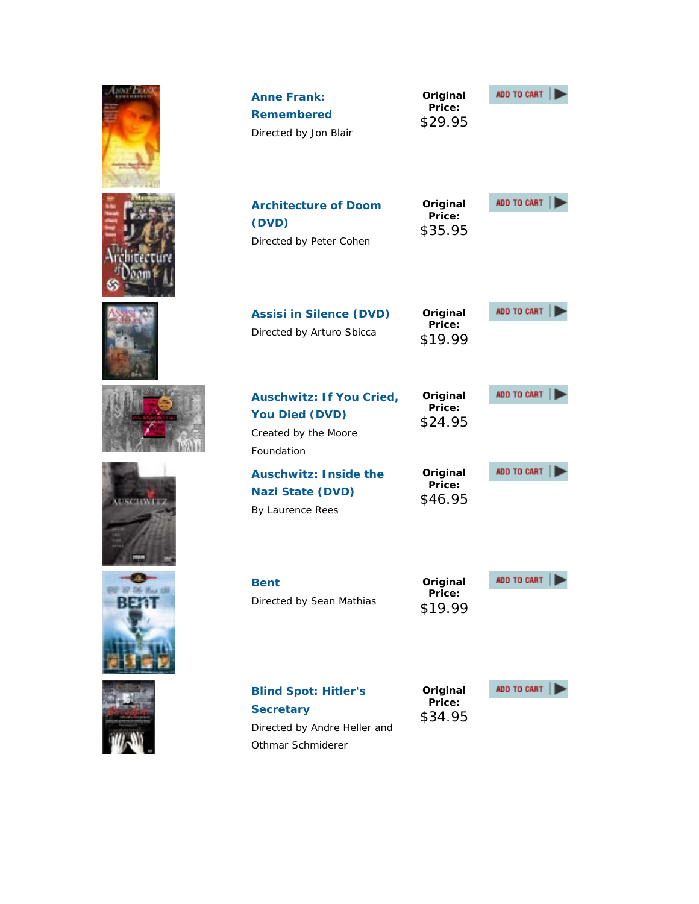|               | <b>Anne Frank:</b><br><b>Remembered</b><br>Directed by Jon Blair                                     | Original<br>Price:<br>\$29.95 | ADD TO CART |
|---------------|------------------------------------------------------------------------------------------------------|-------------------------------|-------------|
|               | <b>Architecture of Doom</b><br>(DVD)<br>Directed by Peter Cohen                                      | Original<br>Price:<br>\$35.95 | ADD TO CART |
|               | <b>Assisi in Silence (DVD)</b><br>Directed by Arturo Sbicca                                          | Original<br>Price:<br>\$19.99 | ADD TO CART |
|               | <b>Auschwitz: If You Cried,</b><br><b>You Died (DVD)</b><br>Created by the Moore<br>Foundation       | Original<br>Price:<br>\$24.95 | ADD TO CART |
| <b>CIMMIT</b> | <b>Auschwitz: Inside the</b><br><b>Nazi State (DVD)</b><br>By Laurence Rees                          | Original<br>Price:<br>\$46.95 | ADD TO CART |
| BETT          | <b>Bent</b><br>Directed by Sean Mathias                                                              | Original<br>Price:<br>\$19.99 | ADD TO CART |
|               | <b>Blind Spot: Hitler's</b><br><b>Secretary</b><br>Directed by Andre Heller and<br>Othmar Schmiderer | Original<br>Price:<br>\$34.95 | ADD TO CART |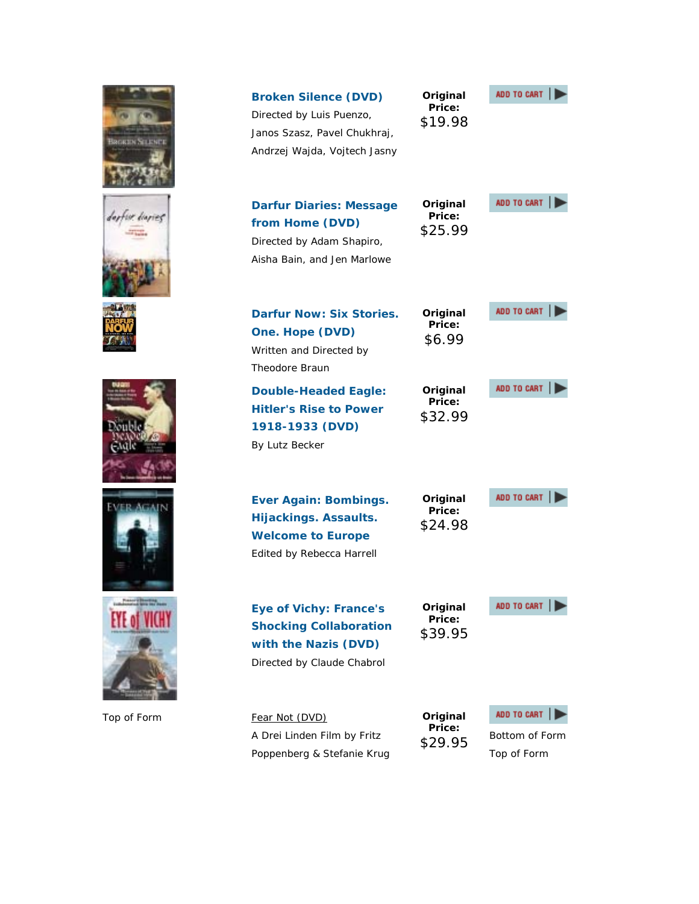| BROKEN SOLENEI | <b>Broken Silence (DVD)</b><br>Directed by Luis Puenzo,<br>Janos Szasz, Pavel Chukhraj,<br>Andrzej Wajda, Vojtech Jasny | Original<br>Price:<br>\$19.98 | ADD TO CART                                  |
|----------------|-------------------------------------------------------------------------------------------------------------------------|-------------------------------|----------------------------------------------|
|                | <b>Darfur Diaries: Message</b><br>from Home (DVD)<br>Directed by Adam Shapiro,<br>Aisha Bain, and Jen Marlowe           | Original<br>Price:<br>\$25.99 | ADD TO CART                                  |
|                | <b>Darfur Now: Six Stories.</b><br>One. Hope (DVD)<br>Written and Directed by<br>Theodore Braun                         | Original<br>Price:<br>\$6.99  | ADD TO CART                                  |
|                | <b>Double-Headed Eagle:</b><br><b>Hitler's Rise to Power</b><br>1918-1933 (DVD)<br>By Lutz Becker                       | Original<br>Price:<br>\$32.99 | ADD TO CART                                  |
|                | <b>Ever Again: Bombings.</b><br><b>Hijackings. Assaults.</b><br><b>Welcome to Europe</b><br>Edited by Rebecca Harrell   | Original<br>Price:<br>\$24.98 | ADD TO CART                                  |
|                | <b>Eye of Vichy: France's</b><br><b>Shocking Collaboration</b><br>with the Nazis (DVD)<br>Directed by Claude Chabrol    | Original<br>Price:<br>\$39.95 | ADD TO CART                                  |
| Top of Form    | Fear Not (DVD)<br>A Drei Linden Film by Fritz<br>Poppenberg & Stefanie Krug                                             | Original<br>Price:<br>\$29.95 | ADD TO CART<br>Bottom of Form<br>Top of Form |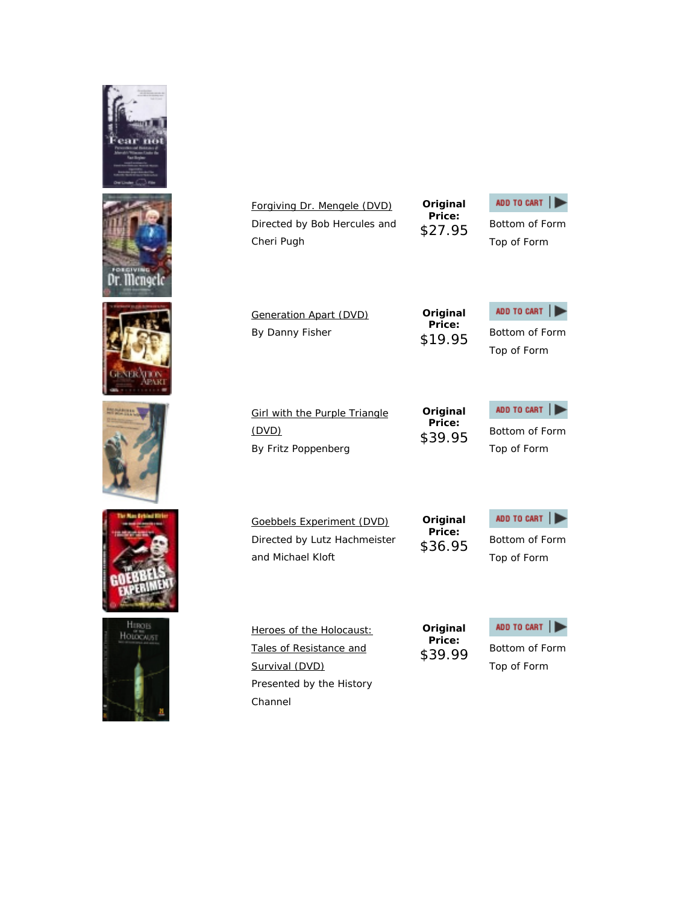









Forgiving Dr. Mengele (DVD) Directed by Bob Hercules and Cheri Pugh

**Original Price:**



\$27.95 Bottom of Form Top of Form

Generation Apart (DVD) By Danny Fisher

**Girl with the Purple Triangle** 

By Fritz Poppenberg

(DVD)

**Original Price:**

ADD TO CART \$19.95 Bottom of Form Top of Form

**Original Price:**



Top of Form

Goebbels Experiment (DVD) Directed by Lutz Hachmeister and Michael Kloft

Heroes of the Holocaust: Tales of Resistance and

Presented by the History

Survival (DVD)

Channel

**Original Price:**

**Original Price:**



Top of Form



\$39.99 Bottom of Form Top of Form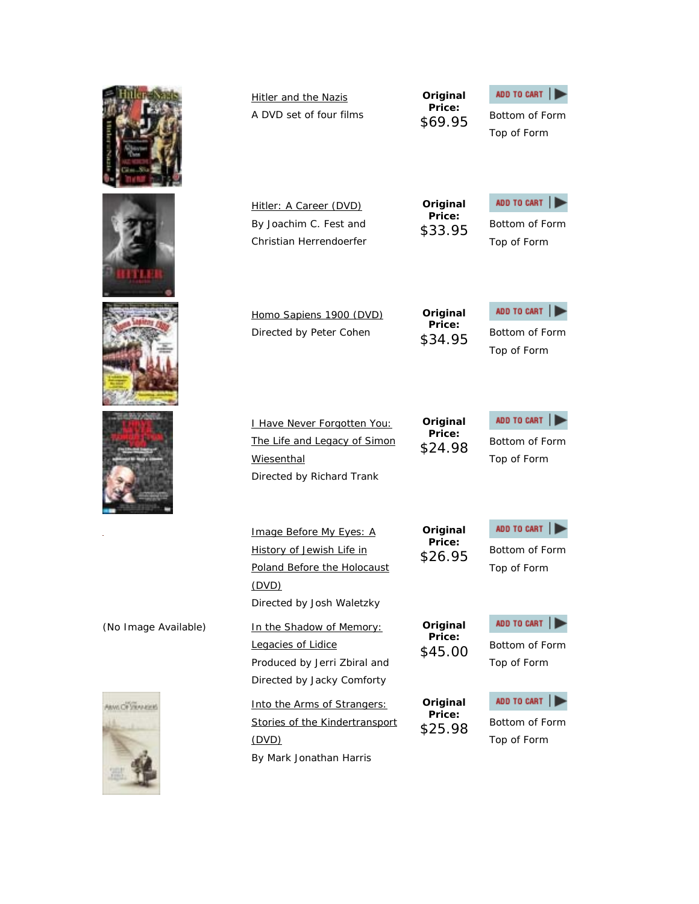|                        | <b>Hitler and the Nazis</b><br>A DVD set of four films                                                                    | Original<br>Price:<br>\$69.95 | ADD TO CART<br>Bottom of Form<br>Top of Form |
|------------------------|---------------------------------------------------------------------------------------------------------------------------|-------------------------------|----------------------------------------------|
|                        | Hitler: A Career (DVD)<br>By Joachim C. Fest and<br>Christian Herrendoerfer                                               | Original<br>Price:<br>\$33.95 | ADD TO CART<br>Bottom of Form<br>Top of Form |
|                        | Homo Sapiens 1900 (DVD)<br>Directed by Peter Cohen                                                                        | Original<br>Price:<br>\$34.95 | ADD TO CART<br>Bottom of Form<br>Top of Form |
|                        | I Have Never Forgotten You:<br>The Life and Legacy of Simon<br>Wiesenthal<br>Directed by Richard Trank                    | Original<br>Price:<br>\$24.98 | ADD TO CART<br>Bottom of Form<br>Top of Form |
|                        | Image Before My Eyes: A<br>History of Jewish Life in<br>Poland Before the Holocaust<br>(DVD)<br>Directed by Josh Waletzky | Original<br>Price:<br>\$26.95 | ADD TO CART<br>Bottom of Form<br>Top of Form |
| (No Image Available)   | In the Shadow of Memory:<br>Legacies of Lidice<br>Produced by Jerri Zbiral and<br>Directed by Jacky Comforty              | Original<br>Price:<br>\$45.00 | ADD TO CART<br>Bottom of Form<br>Top of Form |
| <b>MAN OF VIRANCES</b> | Into the Arms of Strangers:<br>Stories of the Kindertransport<br><u>(DVD)</u><br>By Mark Jonathan Harris                  | Original<br>Price:<br>\$25.98 | ADD TO CART<br>Bottom of Form<br>Top of Form |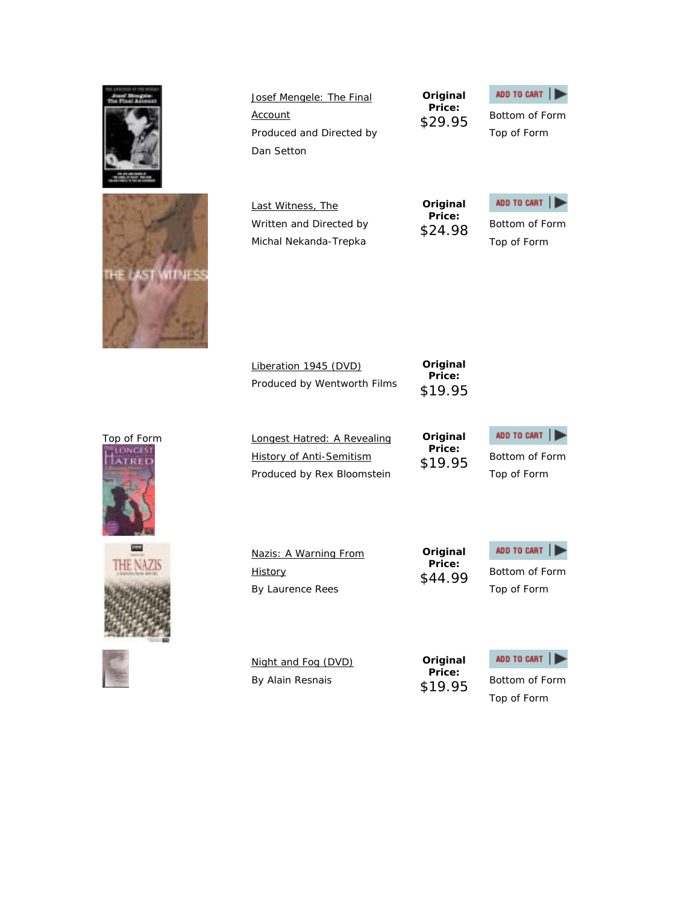|                | Josef Mengele: The Final<br>Account<br>Produced and Directed by<br>Dan Setton | Original<br>Price:<br>\$29.95 | ADD TO CART<br>Bottom of Form<br>Top of Form |
|----------------|-------------------------------------------------------------------------------|-------------------------------|----------------------------------------------|
|                | Last Witness, The                                                             | Original                      | ADD TO CART                                  |
|                | Written and Directed by                                                       | Price:                        | Bottom of Form                               |
|                | Michal Nekanda-Trepka                                                         | \$24.98                       | Top of Form                                  |
|                | Liberation 1945 (DVD)<br>Produced by Wentworth Films                          | Original<br>Price:<br>\$19.95 |                                              |
| Top of Form    | Longest Hatred: A Revealing                                                   | Original                      | ADD TO CART                                  |
|                | <b>History of Anti-Semitism</b>                                               | Price:                        | Bottom of Form                               |
|                | Produced by Rex Bloomstein                                                    | \$19.95                       | Top of Form                                  |
| <b>CARLOTA</b> | Nazis: A Warning From                                                         | Original                      | ADD TO CART                                  |
|                | <b>History</b>                                                                | Price:                        | Bottom of Form                               |
|                | By Laurence Rees                                                              | \$44.99                       | Top of Form                                  |
|                | Night and Fog (DVD)<br>By Alain Resnais                                       | Original<br>Price:<br>\$19.95 | ADD TO CART<br>Bottom of Form                |

Top of Form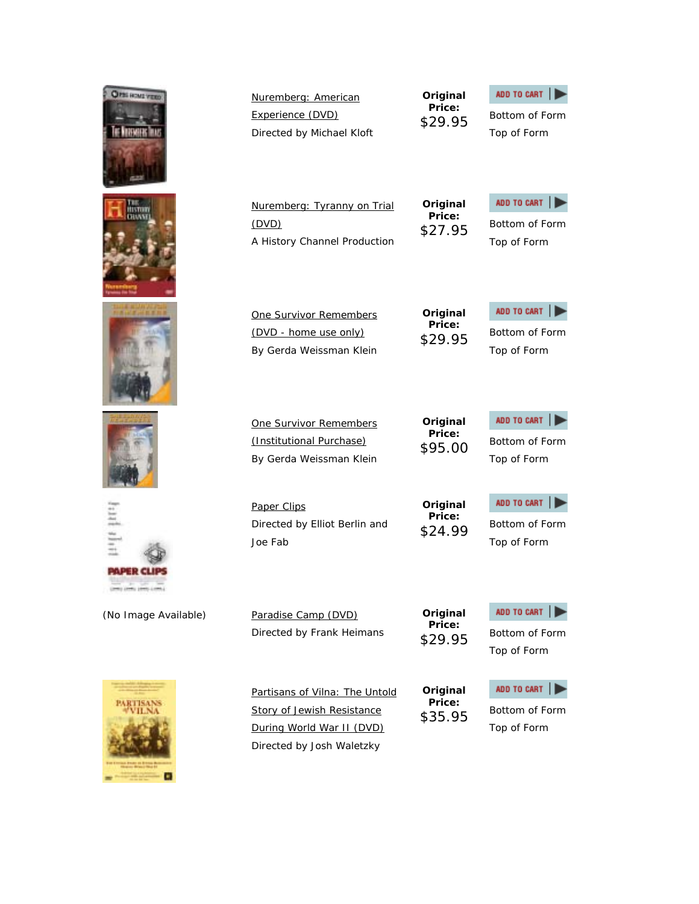OPERONS **Original**  Nuremberg: American **Price:** Experience (DVD) \$29.95 Bottom of Form Directed by Michael Kloft **Original**  Nuremberg: Tyranny on Trial **Price:** (DVD) \$27.95 Bottom of Form A History Channel Production **Original**  One Survivor Remembers **Price:** (DVD - home use only) By Gerda Weissman Klein **Original**  One Survivor Remembers **Price:** (Institutional Purchase) By Gerda Weissman Klein **Original**  Paper Clips **Price:** Directed by Elliot Berlin and \$24.99 Bottom of Form Joe Fab **PAPER CLI Original**  (No Image Available) Paradise Camp (DVD) **Price:** Directed by Frank Heimans

Partisans of Vilna: The Untold Story of Jewish Resistance During World War II (DVD) Directed by Josh Waletzky

**Original Price:**

### ADD TO CART | \$35.95 Bottom of Form Top of Form

ADD TO CART

\$29.95 Bottom of Form Top of Form

Top of Form



ADD TO CART |

ADD TO CART \$29.95 Bottom of Form Top of Form

Top of Form

ADD TO CART

Top of Form

ADD TO CART





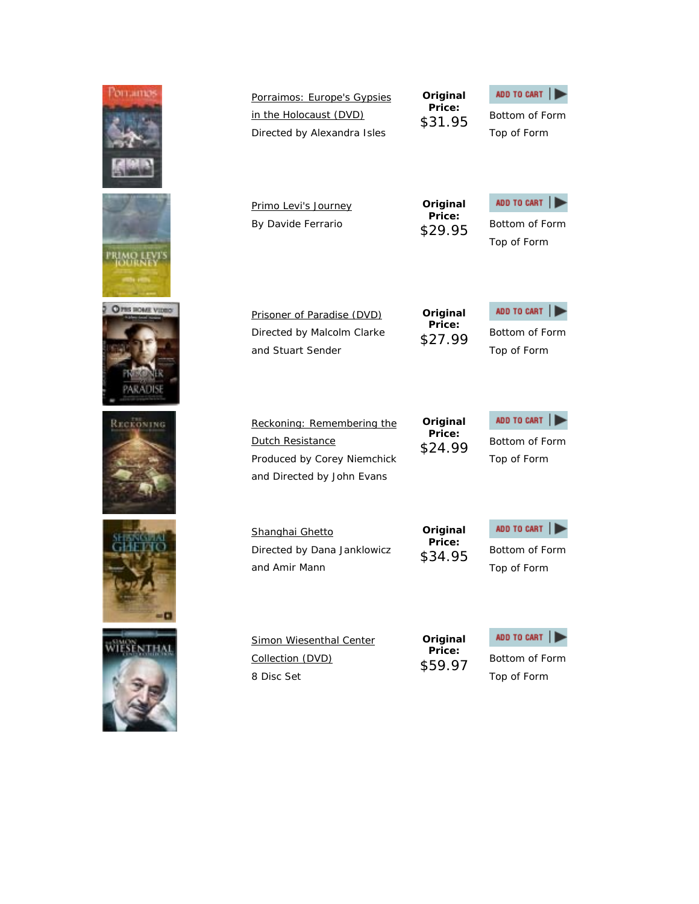

| Directed by Alexandra Isles                                                                                        | DJ 1.70                       | Top of Form                                  |
|--------------------------------------------------------------------------------------------------------------------|-------------------------------|----------------------------------------------|
| <u>Primo Levi's Journey</u><br>By Davide Ferrario                                                                  | Original<br>Price:<br>\$29.95 | ADD TO CART<br>Bottom of Form<br>Top of Form |
| Prisoner of Paradise (DVD)                                                                                         | Original                      | ADD TO CART                                  |
| Directed by Malcolm Clarke                                                                                         | Price:                        | Bottom of Form                               |
| and Stuart Sender                                                                                                  | \$27.99                       | Top of Form                                  |
| Reckoning: Remembering the<br><b>Dutch Resistance</b><br>Produced by Corey Niemchick<br>and Directed by John Evans | Original<br>Price:<br>\$24.99 | ADD TO CART<br>Bottom of Form<br>Top of Form |
| Shanghai Ghetto                                                                                                    | Original                      | ADD TO CART                                  |
| Directed by Dana Janklowicz                                                                                        | Price:                        | Bottom of Form                               |
| and Amir Mann                                                                                                      | \$34.95                       | Top of Form                                  |
| Simon Wiesenthal Center                                                                                            | Original                      | ADD TO CART                                  |
| Collection (DVD)                                                                                                   | Price:                        | Bottom of Form                               |
| 8 Disc Set                                                                                                         | \$59.97                       | Top of Form                                  |

**Original Price:**

\$31.95 Bottom of Form

ADD TO CART |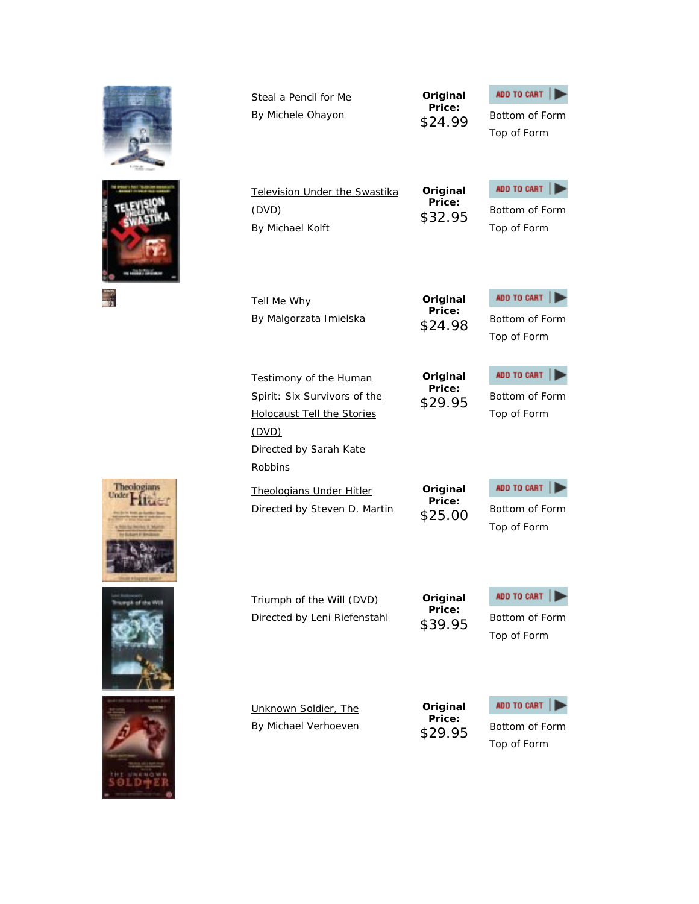|            | Steal a Pencil for Me<br>By Michele Ohayon                                                                                                                                                                   |
|------------|--------------------------------------------------------------------------------------------------------------------------------------------------------------------------------------------------------------|
|            | Television Under the Swastika<br><u>(DVD)</u><br>By Michael Kolft                                                                                                                                            |
|            | Tell Me Why<br>By Malgorzata Imielska                                                                                                                                                                        |
| Theologian | Testimony of the Human<br>Spirit: Six Survivors of the<br><b>Holocaust Tell the Stories</b><br>(DVD)<br>Directed by Sarah Kate<br><b>Robbins</b><br>Theologians Under Hitler<br>Directed by Steven D. Martin |
|            |                                                                                                                                                                                                              |

Triumph of the Will (DVD) Directed by Leni Riefenstahl

**Original Price:**

ADD TO CART \$39.95 Bottom of Form

Top of Form

Unknown Soldier, The By Michael Verhoeven **Original Price:**



\$29.95 Bottom of Form Top of Form







н



**Original Price:**

**Original Price:**

**Original Price:**

**Price:**

**Original Price:**

ADD TO CART |

Top of Form

ADD TO CART

\$24.99 Bottom of Form

\$32.95 Bottom of Form Top of Form

ADD TO CART \$24.98 Bottom of Form

Top of Form

ADD TO CART

\$29.95 Bottom of Form Top of Form

ADD TO CART

Top of Form

**Original** 

\$25.00 Bottom of Form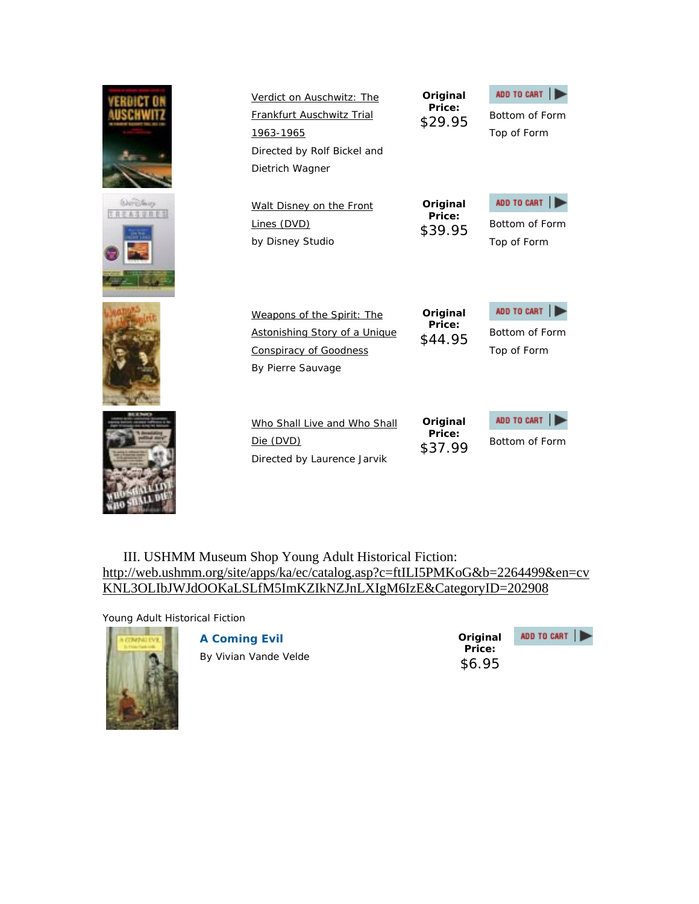|                                              | Verdict on Auschwitz: The<br>Frankfurt Auschwitz Trial<br>1963-1965<br>Directed by Rolf Bickel and<br>Dietrich Wagner    | Original<br>Price:<br>\$29.95 | ADD TO CART<br>Bottom of Form<br>Top of Form |
|----------------------------------------------|--------------------------------------------------------------------------------------------------------------------------|-------------------------------|----------------------------------------------|
| <b><i><u><i><u>DATESSure</u></i></u></i></b> | Walt Disney on the Front<br>Lines (DVD)<br>by Disney Studio                                                              | Original<br>Price:<br>\$39.95 | ADD TO CART<br>Bottom of Form<br>Top of Form |
|                                              | Weapons of the Spirit: The<br><b>Astonishing Story of a Unique</b><br><b>Conspiracy of Goodness</b><br>By Pierre Sauvage | Original<br>Price:<br>\$44.95 | ADD TO CART<br>Bottom of Form<br>Top of Form |
|                                              | Who Shall Live and Who Shall<br>Die (DVD)<br>Directed by Laurence Jarvik                                                 | Original<br>Price:<br>\$37.99 | ADD TO CART<br>Bottom of Form                |

III. USHMM Museum Shop Young Adult Historical Fiction: http://web.ushmm.org/site/apps/ka/ec/catalog.asp?c=ftILI5PMKoG&b=2264499&en=cv KNL3OLIbJWJdOOKaLSLfM5ImKZIkNZJnLXIgM6IzE&CategoryID=202908

Young Adult Historical Fiction



**A Coming Evil**

By Vivian Vande Velde

**Original Price:** \$6.95

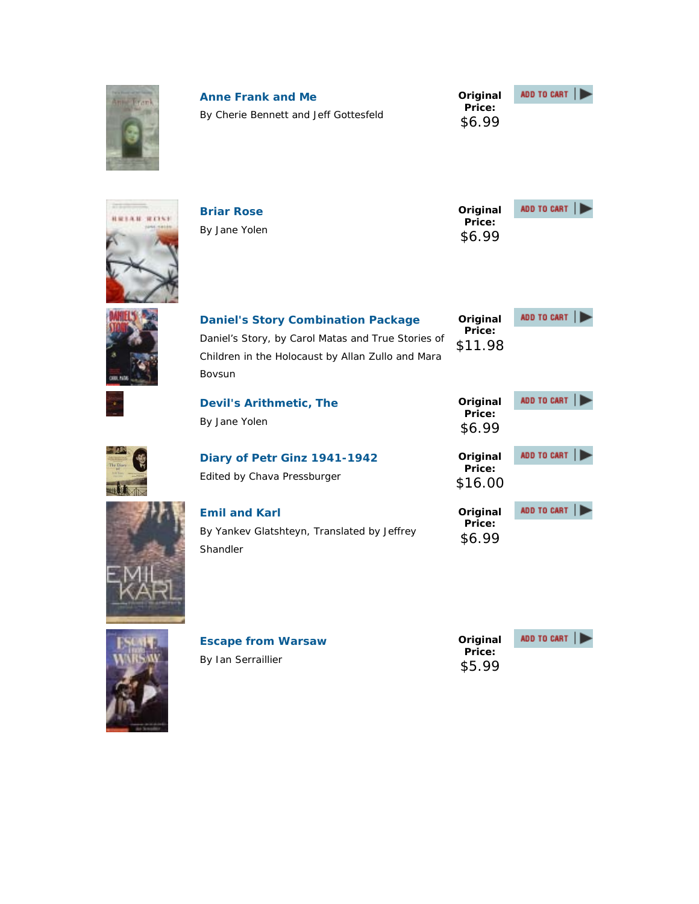| Ammedian       | <b>Anne Frank and Me</b><br>By Cherie Bennett and Jeff Gottesfeld                                                                                              | Original<br>Price:<br>\$6.99  | ADD TO CART |
|----------------|----------------------------------------------------------------------------------------------------------------------------------------------------------------|-------------------------------|-------------|
| 4.11<br>121161 | <b>Briar Rose</b><br>By Jane Yolen                                                                                                                             | Original<br>Price:<br>\$6.99  | ADD TO CART |
|                | <b>Daniel's Story Combination Package</b><br>Daniel's Story, by Carol Matas and True Stories of<br>Children in the Holocaust by Allan Zullo and Mara<br>Bovsun | Original<br>Price:<br>\$11.98 | ADD TO CART |
|                | <b>Devil's Arithmetic, The</b><br>By Jane Yolen                                                                                                                | Original<br>Price:<br>\$6.99  | ADD TO CART |
|                | Diary of Petr Ginz 1941-1942<br>Edited by Chava Pressburger                                                                                                    | Original<br>Price:<br>\$16.00 | ADD TO CART |
|                | <b>Emil and Karl</b><br>By Yankev Glatshteyn, Translated by Jeffrey<br>Shandler                                                                                | Original<br>Price:<br>\$6.99  | ADD TO CART |



| <b>Escape from Warsaw</b> |
|---------------------------|
| By Ian Serraillier        |

**Original Price:** \$5.99

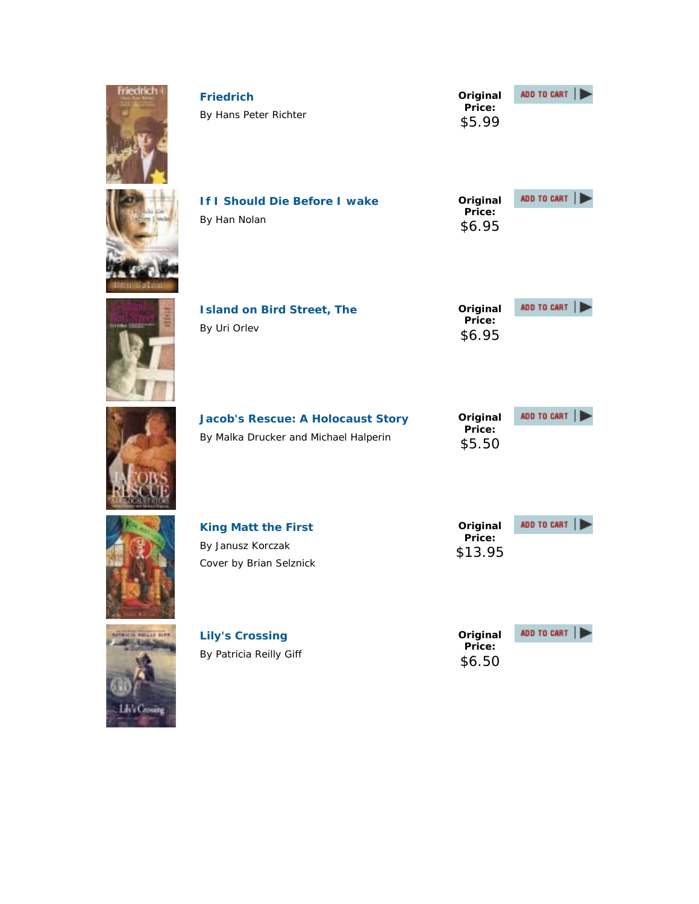| <b>Friedrich</b>     | <b>Friedrich</b><br>By Hans Peter Richter                                         | Original<br>Price:<br>\$5.99  | ADD TO CART |
|----------------------|-----------------------------------------------------------------------------------|-------------------------------|-------------|
|                      | If I Should Die Before I wake<br>By Han Nolan                                     | Original<br>Price:<br>\$6.95  | ADD TO CART |
|                      | <b>Island on Bird Street, The</b><br>By Uri Orlev                                 | Original<br>Price:<br>\$6.95  | ADD TO CART |
|                      | <b>Jacob's Rescue: A Holocaust Story</b><br>By Malka Drucker and Michael Halperin | Original<br>Price:<br>\$5.50  | ADD TO CART |
|                      | <b>King Matt the First</b><br>By Janusz Korczak<br>Cover by Brian Selznick        | Original<br>Price:<br>\$13.95 | ADD TO CART |
| <b>IA HELLY OFFE</b> | <b>Lily's Crossing</b><br>By Patricia Reilly Giff                                 | Original<br>Price:<br>\$6.50  | ADD TO CART |

**GDF** 

Lib's Crossing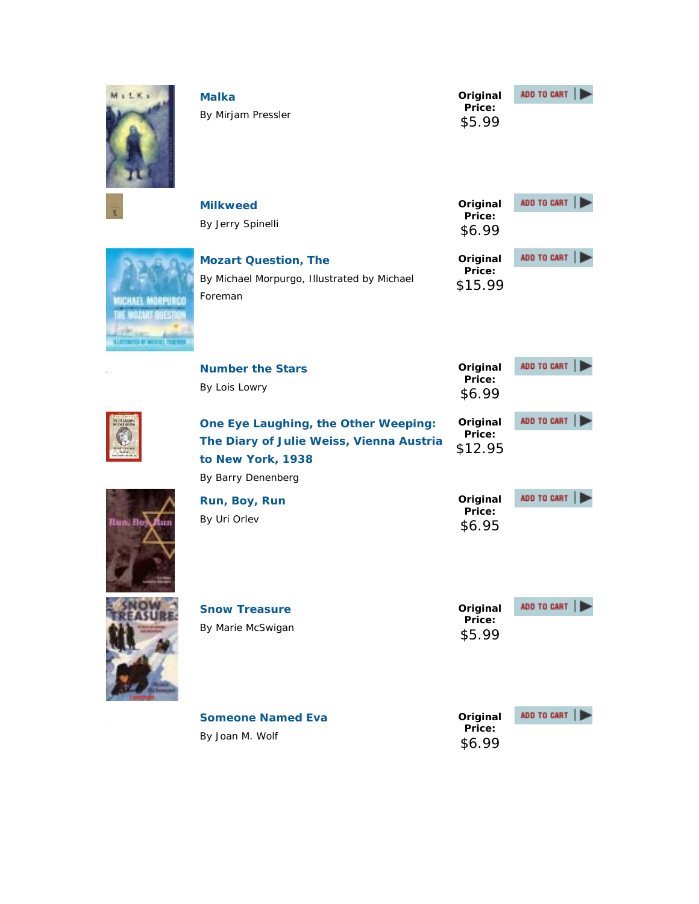| 1 L K x                                                                            | <b>Malka</b><br>By Mirjam Pressler                                                                                          | Original<br>Price:<br>\$5.99  | ADD TO CART |
|------------------------------------------------------------------------------------|-----------------------------------------------------------------------------------------------------------------------------|-------------------------------|-------------|
|                                                                                    | <b>Milkweed</b><br>By Jerry Spinelli                                                                                        | Original<br>Price:<br>\$6.99  | ADD TO CART |
| <b>MICHAEL MORPURGE</b><br><b>DATE THE</b><br><b>LLOTTNITUD OF INCOLNE FOREIGN</b> | <b>Mozart Question, The</b><br>By Michael Morpurgo, Illustrated by Michael<br>Foreman                                       | Original<br>Price:<br>\$15.99 | ADD TO CART |
|                                                                                    | <b>Number the Stars</b>                                                                                                     | Original<br>Price:            | ADD TO CART |
|                                                                                    | By Lois Lowry                                                                                                               | \$6.99                        |             |
|                                                                                    | One Eye Laughing, the Other Weeping:<br>The Diary of Julie Weiss, Vienna Austria<br>to New York, 1938<br>By Barry Denenberg | Original<br>Price:<br>\$12.95 | ADD TO CART |
| Run, Box Aur                                                                       | Run, Boy, Run<br>By Uri Orlev                                                                                               | Original<br>Price:<br>\$6.95  | ADD TO CART |
|                                                                                    | <b>Snow Treasure</b><br>By Marie McSwigan                                                                                   | Original<br>Price:<br>\$5.99  | ADD TO CART |
|                                                                                    | <b>Someone Named Eva</b><br>By Joan M. Wolf                                                                                 | Original<br>Price:<br>\$6.99  | ADD TO CART |

 $\frac{1}{\sqrt{2}}$